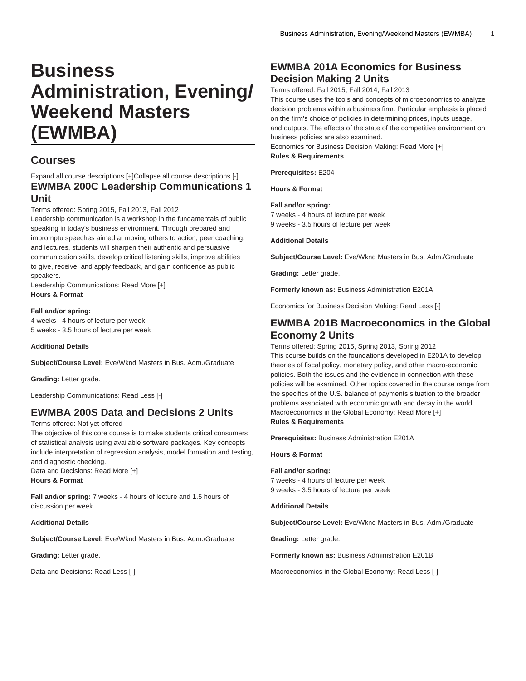# **Business Administration, Evening/ Weekend Masters (EWMBA)**

### **Courses**

#### Expand all course descriptions [+]Collapse all course descriptions [-] **EWMBA 200C Leadership Communications 1 Unit**

Terms offered: Spring 2015, Fall 2013, Fall 2012

Leadership communication is a workshop in the fundamentals of public speaking in today's business environment. Through prepared and impromptu speeches aimed at moving others to action, peer coaching, and lectures, students will sharpen their authentic and persuasive communication skills, develop critical listening skills, improve abilities to give, receive, and apply feedback, and gain confidence as public speakers.

Leadership Communications: Read More [+] **Hours & Format**

#### **Fall and/or spring:**

4 weeks - 4 hours of lecture per week 5 weeks - 3.5 hours of lecture per week

**Additional Details**

**Subject/Course Level:** Eve/Wknd Masters in Bus. Adm./Graduate

**Grading:** Letter grade.

Leadership Communications: Read Less [-]

### **EWMBA 200S Data and Decisions 2 Units**

Terms offered: Not yet offered

The objective of this core course is to make students critical consumers of statistical analysis using available software packages. Key concepts include interpretation of regression analysis, model formation and testing, and diagnostic checking.

Data and Decisions: Read More [+] **Hours & Format**

**Fall and/or spring:** 7 weeks - 4 hours of lecture and 1.5 hours of discussion per week

#### **Additional Details**

**Subject/Course Level:** Eve/Wknd Masters in Bus. Adm./Graduate

**Grading:** Letter grade.

Data and Decisions: Read Less [-]

### **EWMBA 201A Economics for Business Decision Making 2 Units**

Terms offered: Fall 2015, Fall 2014, Fall 2013

This course uses the tools and concepts of microeconomics to analyze decision problems within a business firm. Particular emphasis is placed on the firm's choice of policies in determining prices, inputs usage, and outputs. The effects of the state of the competitive environment on business policies are also examined.

Economics for Business Decision Making: Read More [+] **Rules & Requirements**

**Prerequisites:** E204

**Hours & Format**

#### **Fall and/or spring:**

7 weeks - 4 hours of lecture per week 9 weeks - 3.5 hours of lecture per week

**Additional Details**

**Subject/Course Level:** Eve/Wknd Masters in Bus. Adm./Graduate

**Grading:** Letter grade.

**Formerly known as:** Business Administration E201A

Economics for Business Decision Making: Read Less [-]

### **EWMBA 201B Macroeconomics in the Global Economy 2 Units**

Terms offered: Spring 2015, Spring 2013, Spring 2012 This course builds on the foundations developed in E201A to develop theories of fiscal policy, monetary policy, and other macro-economic policies. Both the issues and the evidence in connection with these policies will be examined. Other topics covered in the course range from the specifics of the U.S. balance of payments situation to the broader problems associated with economic growth and decay in the world. Macroeconomics in the Global Economy: Read More [+] **Rules & Requirements**

**Prerequisites:** Business Administration E201A

**Hours & Format**

**Fall and/or spring:** 7 weeks - 4 hours of lecture per week 9 weeks - 3.5 hours of lecture per week

**Additional Details**

**Subject/Course Level:** Eve/Wknd Masters in Bus. Adm./Graduate

**Grading:** Letter grade.

**Formerly known as:** Business Administration E201B

Macroeconomics in the Global Economy: Read Less [-]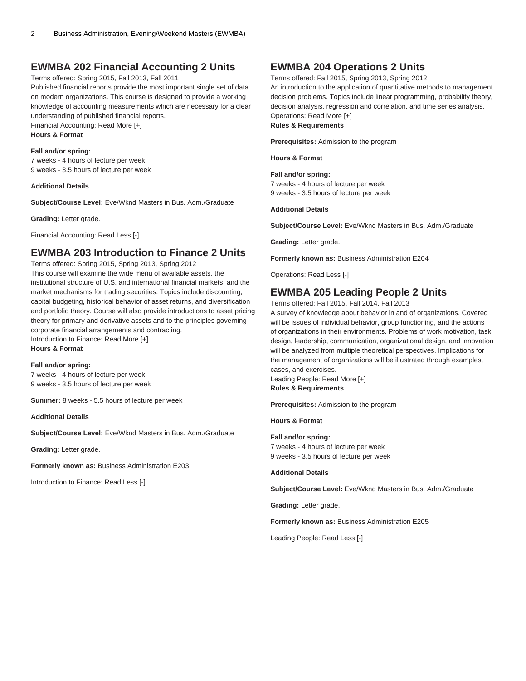### **EWMBA 202 Financial Accounting 2 Units**

Terms offered: Spring 2015, Fall 2013, Fall 2011

Published financial reports provide the most important single set of data on modern organizations. This course is designed to provide a working knowledge of accounting measurements which are necessary for a clear understanding of published financial reports.

Financial Accounting: Read More [+]

**Hours & Format**

#### **Fall and/or spring:**

7 weeks - 4 hours of lecture per week 9 weeks - 3.5 hours of lecture per week

#### **Additional Details**

**Subject/Course Level:** Eve/Wknd Masters in Bus. Adm./Graduate

**Grading:** Letter grade.

Financial Accounting: Read Less [-]

#### **EWMBA 203 Introduction to Finance 2 Units**

Terms offered: Spring 2015, Spring 2013, Spring 2012 This course will examine the wide menu of available assets, the institutional structure of U.S. and international financial markets, and the market mechanisms for trading securities. Topics include discounting, capital budgeting, historical behavior of asset returns, and diversification and portfolio theory. Course will also provide introductions to asset pricing theory for primary and derivative assets and to the principles governing corporate financial arrangements and contracting. Introduction to Finance: Read More [+]

**Hours & Format**

#### **Fall and/or spring:**

7 weeks - 4 hours of lecture per week 9 weeks - 3.5 hours of lecture per week

**Summer:** 8 weeks - 5.5 hours of lecture per week

**Additional Details**

**Subject/Course Level:** Eve/Wknd Masters in Bus. Adm./Graduate

**Grading:** Letter grade.

**Formerly known as:** Business Administration E203

Introduction to Finance: Read Less [-]

#### **EWMBA 204 Operations 2 Units**

Terms offered: Fall 2015, Spring 2013, Spring 2012

An introduction to the application of quantitative methods to management decision problems. Topics include linear programming, probability theory, decision analysis, regression and correlation, and time series analysis. Operations: Read More [+]

#### **Rules & Requirements**

**Prerequisites:** Admission to the program

**Hours & Format**

**Fall and/or spring:** 7 weeks - 4 hours of lecture per week 9 weeks - 3.5 hours of lecture per week

#### **Additional Details**

**Subject/Course Level:** Eve/Wknd Masters in Bus. Adm./Graduate

**Grading:** Letter grade.

**Formerly known as:** Business Administration E204

Operations: Read Less [-]

### **EWMBA 205 Leading People 2 Units**

Terms offered: Fall 2015, Fall 2014, Fall 2013

A survey of knowledge about behavior in and of organizations. Covered will be issues of individual behavior, group functioning, and the actions of organizations in their environments. Problems of work motivation, task design, leadership, communication, organizational design, and innovation will be analyzed from multiple theoretical perspectives. Implications for the management of organizations will be illustrated through examples, cases, and exercises. Leading People: Read More [+]

**Rules & Requirements**

**Prerequisites:** Admission to the program

#### **Hours & Format**

**Fall and/or spring:** 7 weeks - 4 hours of lecture per week 9 weeks - 3.5 hours of lecture per week

**Additional Details**

**Subject/Course Level:** Eve/Wknd Masters in Bus. Adm./Graduate

**Grading:** Letter grade.

**Formerly known as:** Business Administration E205

Leading People: Read Less [-]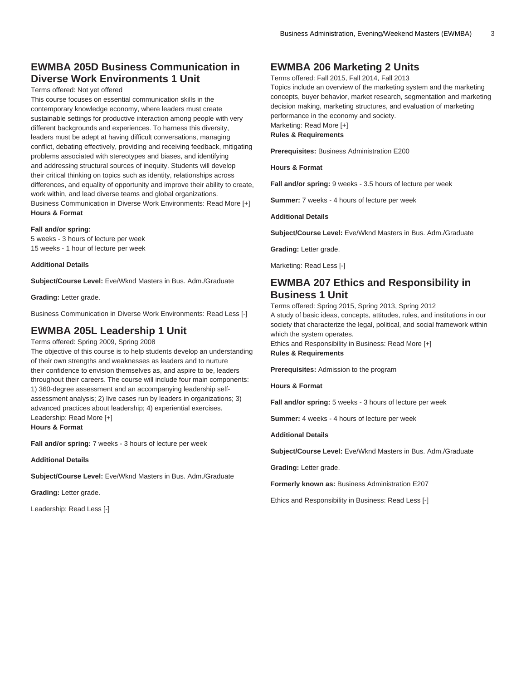### **EWMBA 205D Business Communication in Diverse Work Environments 1 Unit**

Terms offered: Not yet offered

This course focuses on essential communication skills in the contemporary knowledge economy, where leaders must create sustainable settings for productive interaction among people with very different backgrounds and experiences. To harness this diversity, leaders must be adept at having difficult conversations, managing conflict, debating effectively, providing and receiving feedback, mitigating problems associated with stereotypes and biases, and identifying and addressing structural sources of inequity. Students will develop their critical thinking on topics such as identity, relationships across differences, and equality of opportunity and improve their ability to create, work within, and lead diverse teams and global organizations. Business Communication in Diverse Work Environments: Read More [+] **Hours & Format**

#### **Fall and/or spring:**

5 weeks - 3 hours of lecture per week 15 weeks - 1 hour of lecture per week

#### **Additional Details**

**Subject/Course Level:** Eve/Wknd Masters in Bus. Adm./Graduate

**Grading:** Letter grade.

Business Communication in Diverse Work Environments: Read Less [-]

### **EWMBA 205L Leadership 1 Unit**

Terms offered: Spring 2009, Spring 2008

The objective of this course is to help students develop an understanding of their own strengths and weaknesses as leaders and to nurture their confidence to envision themselves as, and aspire to be, leaders throughout their careers. The course will include four main components: 1) 360-degree assessment and an accompanying leadership selfassessment analysis; 2) live cases run by leaders in organizations; 3) advanced practices about leadership; 4) experiential exercises. Leadership: Read More [+]

**Hours & Format**

**Fall and/or spring:** 7 weeks - 3 hours of lecture per week

**Additional Details**

**Subject/Course Level:** Eve/Wknd Masters in Bus. Adm./Graduate

**Grading:** Letter grade.

Leadership: Read Less [-]

### **EWMBA 206 Marketing 2 Units**

Terms offered: Fall 2015, Fall 2014, Fall 2013 Topics include an overview of the marketing system and the marketing concepts, buyer behavior, market research, segmentation and marketing decision making, marketing structures, and evaluation of marketing performance in the economy and society. Marketing: Read More [+] **Rules & Requirements**

**Prerequisites:** Business Administration E200

**Hours & Format**

**Fall and/or spring:** 9 weeks - 3.5 hours of lecture per week

**Summer:** 7 weeks - 4 hours of lecture per week

**Additional Details**

**Subject/Course Level:** Eve/Wknd Masters in Bus. Adm./Graduate

**Grading:** Letter grade.

Marketing: Read Less [-]

### **EWMBA 207 Ethics and Responsibility in Business 1 Unit**

Terms offered: Spring 2015, Spring 2013, Spring 2012 A study of basic ideas, concepts, attitudes, rules, and institutions in our society that characterize the legal, political, and social framework within which the system operates.

Ethics and Responsibility in Business: Read More [+] **Rules & Requirements**

**Prerequisites:** Admission to the program

**Hours & Format**

**Fall and/or spring:** 5 weeks - 3 hours of lecture per week

**Summer:** 4 weeks - 4 hours of lecture per week

**Additional Details**

**Subject/Course Level:** Eve/Wknd Masters in Bus. Adm./Graduate

**Grading:** Letter grade.

**Formerly known as:** Business Administration E207

Ethics and Responsibility in Business: Read Less [-]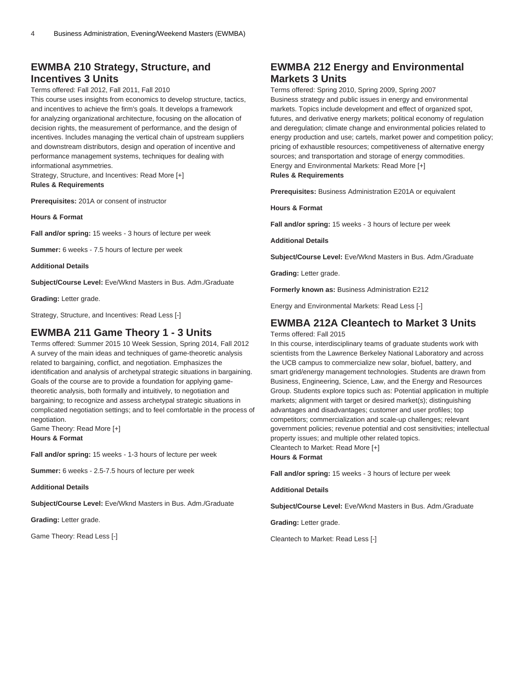### **EWMBA 210 Strategy, Structure, and Incentives 3 Units**

#### Terms offered: Fall 2012, Fall 2011, Fall 2010

This course uses insights from economics to develop structure, tactics, and incentives to achieve the firm's goals. It develops a framework for analyzing organizational architecture, focusing on the allocation of decision rights, the measurement of performance, and the design of incentives. Includes managing the vertical chain of upstream suppliers and downstream distributors, design and operation of incentive and performance management systems, techniques for dealing with informational asymmetries.

Strategy, Structure, and Incentives: Read More [+] **Rules & Requirements**

**Prerequisites:** 201A or consent of instructor

**Hours & Format**

**Fall and/or spring:** 15 weeks - 3 hours of lecture per week

**Summer:** 6 weeks - 7.5 hours of lecture per week

**Additional Details**

**Subject/Course Level:** Eve/Wknd Masters in Bus. Adm./Graduate

**Grading:** Letter grade.

Strategy, Structure, and Incentives: Read Less [-]

#### **EWMBA 211 Game Theory 1 - 3 Units**

Terms offered: Summer 2015 10 Week Session, Spring 2014, Fall 2012 A survey of the main ideas and techniques of game-theoretic analysis related to bargaining, conflict, and negotiation. Emphasizes the identification and analysis of archetypal strategic situations in bargaining. Goals of the course are to provide a foundation for applying gametheoretic analysis, both formally and intuitively, to negotiation and bargaining; to recognize and assess archetypal strategic situations in complicated negotiation settings; and to feel comfortable in the process of negotiation.

Game Theory: Read More [+] **Hours & Format**

**Fall and/or spring:** 15 weeks - 1-3 hours of lecture per week

**Summer:** 6 weeks - 2.5-7.5 hours of lecture per week

**Additional Details**

**Subject/Course Level:** Eve/Wknd Masters in Bus. Adm./Graduate

**Grading:** Letter grade.

Game Theory: Read Less [-]

### **EWMBA 212 Energy and Environmental Markets 3 Units**

Terms offered: Spring 2010, Spring 2009, Spring 2007 Business strategy and public issues in energy and environmental markets. Topics include development and effect of organized spot, futures, and derivative energy markets; political economy of regulation and deregulation; climate change and environmental policies related to energy production and use; cartels, market power and competition policy; pricing of exhaustible resources; competitiveness of alternative energy sources; and transportation and storage of energy commodities. Energy and Environmental Markets: Read More [+] **Rules & Requirements**

**Prerequisites:** Business Administration E201A or equivalent

**Hours & Format**

**Fall and/or spring:** 15 weeks - 3 hours of lecture per week

**Additional Details**

**Subject/Course Level:** Eve/Wknd Masters in Bus. Adm./Graduate

**Grading:** Letter grade.

**Formerly known as:** Business Administration E212

Energy and Environmental Markets: Read Less [-]

#### **EWMBA 212A Cleantech to Market 3 Units**

Terms offered: Fall 2015

In this course, interdisciplinary teams of graduate students work with scientists from the Lawrence Berkeley National Laboratory and across the UCB campus to commercialize new solar, biofuel, battery, and smart grid/energy management technologies. Students are drawn from Business, Engineering, Science, Law, and the Energy and Resources Group. Students explore topics such as: Potential application in multiple markets; alignment with target or desired market(s); distinguishing advantages and disadvantages; customer and user profiles; top competitors; commercialization and scale-up challenges; relevant government policies; revenue potential and cost sensitivities; intellectual property issues; and multiple other related topics. Cleantech to Market: Read More [+] **Hours & Format**

**Fall and/or spring:** 15 weeks - 3 hours of lecture per week

**Additional Details**

**Subject/Course Level:** Eve/Wknd Masters in Bus. Adm./Graduate

**Grading:** Letter grade.

Cleantech to Market: Read Less [-]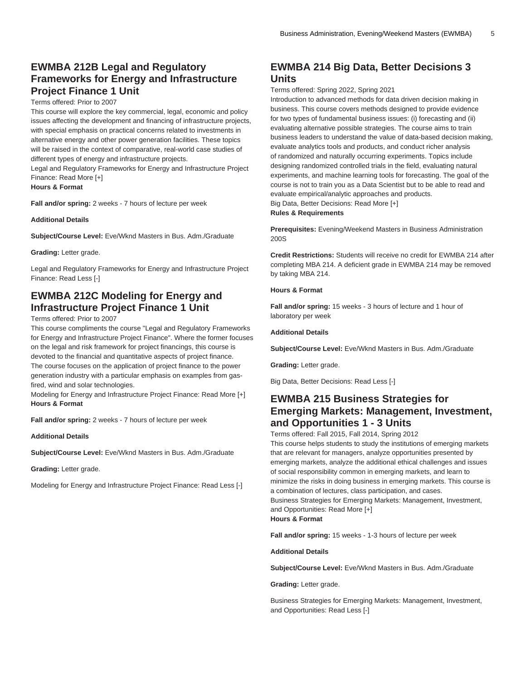### **EWMBA 212B Legal and Regulatory Frameworks for Energy and Infrastructure Project Finance 1 Unit**

#### Terms offered: Prior to 2007

This course will explore the key commercial, legal, economic and policy issues affecting the development and financing of infrastructure projects, with special emphasis on practical concerns related to investments in alternative energy and other power generation facilities. These topics will be raised in the context of comparative, real-world case studies of different types of energy and infrastructure projects.

Legal and Regulatory Frameworks for Energy and Infrastructure Project Finance: Read More [+]

**Hours & Format**

**Fall and/or spring:** 2 weeks - 7 hours of lecture per week

#### **Additional Details**

**Subject/Course Level:** Eve/Wknd Masters in Bus. Adm./Graduate

**Grading:** Letter grade.

Legal and Regulatory Frameworks for Energy and Infrastructure Project Finance: Read Less [-]

### **EWMBA 212C Modeling for Energy and Infrastructure Project Finance 1 Unit**

#### Terms offered: Prior to 2007

This course compliments the course "Legal and Regulatory Frameworks for Energy and Infrastructure Project Finance". Where the former focuses on the legal and risk framework for project financings, this course is devoted to the financial and quantitative aspects of project finance. The course focuses on the application of project finance to the power generation industry with a particular emphasis on examples from gasfired, wind and solar technologies.

Modeling for Energy and Infrastructure Project Finance: Read More [+] **Hours & Format**

**Fall and/or spring:** 2 weeks - 7 hours of lecture per week

**Additional Details**

**Subject/Course Level:** Eve/Wknd Masters in Bus. Adm./Graduate

**Grading:** Letter grade.

Modeling for Energy and Infrastructure Project Finance: Read Less [-]

### **EWMBA 214 Big Data, Better Decisions 3 Units**

Terms offered: Spring 2022, Spring 2021

Introduction to advanced methods for data driven decision making in business. This course covers methods designed to provide evidence for two types of fundamental business issues: (i) forecasting and (ii) evaluating alternative possible strategies. The course aims to train business leaders to understand the value of data-based decision making, evaluate analytics tools and products, and conduct richer analysis of randomized and naturally occurring experiments. Topics include designing randomized controlled trials in the field, evaluating natural experiments, and machine learning tools for forecasting. The goal of the course is not to train you as a Data Scientist but to be able to read and evaluate empirical/analytic approaches and products. Big Data, Better Decisions: Read More [+]

**Rules & Requirements**

**Prerequisites:** Evening/Weekend Masters in Business Administration 200S

**Credit Restrictions:** Students will receive no credit for [EWMBA 214](/search/?P=EWMBA%20214) after completing [MBA 214.](/search/?P=MBA%20214) A deficient grade in [EWMBA 214](/search/?P=EWMBA%20214) may be removed by taking [MBA 214](/search/?P=MBA%20214).

#### **Hours & Format**

**Fall and/or spring:** 15 weeks - 3 hours of lecture and 1 hour of laboratory per week

#### **Additional Details**

**Subject/Course Level:** Eve/Wknd Masters in Bus. Adm./Graduate

**Grading:** Letter grade.

Big Data, Better Decisions: Read Less [-]

### **EWMBA 215 Business Strategies for Emerging Markets: Management, Investment, and Opportunities 1 - 3 Units**

Terms offered: Fall 2015, Fall 2014, Spring 2012 This course helps students to study the institutions of emerging markets that are relevant for managers, analyze opportunities presented by emerging markets, analyze the additional ethical challenges and issues of social responsibility common in emerging markets, and learn to minimize the risks in doing business in emerging markets. This course is a combination of lectures, class participation, and cases. Business Strategies for Emerging Markets: Management, Investment, and Opportunities: Read More [+] **Hours & Format**

**Fall and/or spring:** 15 weeks - 1-3 hours of lecture per week

**Additional Details**

**Subject/Course Level:** Eve/Wknd Masters in Bus. Adm./Graduate

**Grading:** Letter grade.

Business Strategies for Emerging Markets: Management, Investment, and Opportunities: Read Less [-]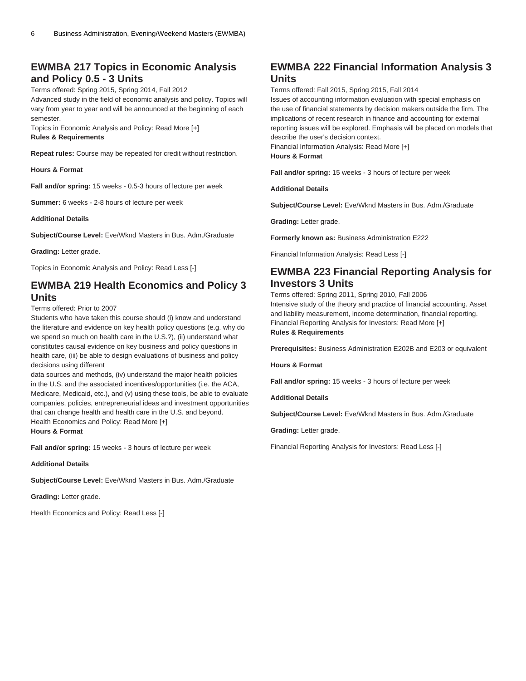### **EWMBA 217 Topics in Economic Analysis and Policy 0.5 - 3 Units**

Terms offered: Spring 2015, Spring 2014, Fall 2012 Advanced study in the field of economic analysis and policy. Topics will vary from year to year and will be announced at the beginning of each semester.

Topics in Economic Analysis and Policy: Read More [+]

#### **Rules & Requirements**

**Repeat rules:** Course may be repeated for credit without restriction.

**Hours & Format**

**Fall and/or spring:** 15 weeks - 0.5-3 hours of lecture per week

**Summer:** 6 weeks - 2-8 hours of lecture per week

**Additional Details**

**Subject/Course Level:** Eve/Wknd Masters in Bus. Adm./Graduate

**Grading:** Letter grade.

Topics in Economic Analysis and Policy: Read Less [-]

### **EWMBA 219 Health Economics and Policy 3 Units**

Terms offered: Prior to 2007

Students who have taken this course should (i) know and understand the literature and evidence on key health policy questions (e.g. why do we spend so much on health care in the U.S.?), (ii) understand what constitutes causal evidence on key business and policy questions in health care, (iii) be able to design evaluations of business and policy decisions using different

data sources and methods, (iv) understand the major health policies in the U.S. and the associated incentives/opportunities (i.e. the ACA, Medicare, Medicaid, etc.), and (v) using these tools, be able to evaluate companies, policies, entrepreneurial ideas and investment opportunities that can change health and health care in the U.S. and beyond. Health Economics and Policy: Read More [+]

**Hours & Format**

**Fall and/or spring:** 15 weeks - 3 hours of lecture per week

**Additional Details**

**Subject/Course Level:** Eve/Wknd Masters in Bus. Adm./Graduate

**Grading:** Letter grade.

Health Economics and Policy: Read Less [-]

## **EWMBA 222 Financial Information Analysis 3 Units**

Terms offered: Fall 2015, Spring 2015, Fall 2014 Issues of accounting information evaluation with special emphasis on the use of financial statements by decision makers outside the firm. The implications of recent research in finance and accounting for external reporting issues will be explored. Emphasis will be placed on models that describe the user's decision context. Financial Information Analysis: Read More [+]

**Hours & Format**

**Fall and/or spring:** 15 weeks - 3 hours of lecture per week

**Additional Details**

**Subject/Course Level:** Eve/Wknd Masters in Bus. Adm./Graduate

**Grading:** Letter grade.

**Formerly known as:** Business Administration E222

Financial Information Analysis: Read Less [-]

## **EWMBA 223 Financial Reporting Analysis for Investors 3 Units**

Terms offered: Spring 2011, Spring 2010, Fall 2006 Intensive study of the theory and practice of financial accounting. Asset and liability measurement, income determination, financial reporting. Financial Reporting Analysis for Investors: Read More [+] **Rules & Requirements**

**Prerequisites:** Business Administration E202B and E203 or equivalent

**Hours & Format**

**Fall and/or spring:** 15 weeks - 3 hours of lecture per week

**Additional Details**

**Subject/Course Level:** Eve/Wknd Masters in Bus. Adm./Graduate

**Grading:** Letter grade.

Financial Reporting Analysis for Investors: Read Less [-]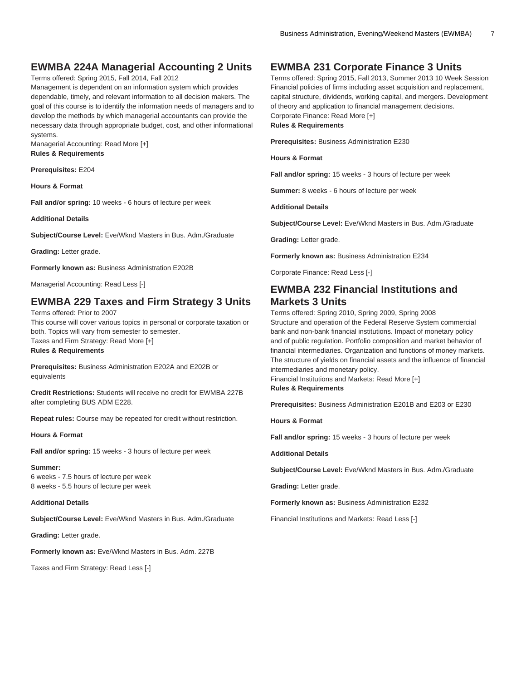### **EWMBA 224A Managerial Accounting 2 Units**

Terms offered: Spring 2015, Fall 2014, Fall 2012

Management is dependent on an information system which provides dependable, timely, and relevant information to all decision makers. The goal of this course is to identify the information needs of managers and to develop the methods by which managerial accountants can provide the necessary data through appropriate budget, cost, and other informational systems.

Managerial Accounting: Read More [+] **Rules & Requirements**

**Prerequisites:** E204

**Hours & Format**

**Fall and/or spring:** 10 weeks - 6 hours of lecture per week

**Additional Details**

**Subject/Course Level:** Eve/Wknd Masters in Bus. Adm./Graduate

**Grading:** Letter grade.

**Formerly known as:** Business Administration E202B

Managerial Accounting: Read Less [-]

### **EWMBA 229 Taxes and Firm Strategy 3 Units**

Terms offered: Prior to 2007 This course will cover various topics in personal or corporate taxation or both. Topics will vary from semester to semester. Taxes and Firm Strategy: Read More [+] **Rules & Requirements**

**Prerequisites:** Business Administration E202A and E202B or equivalents

**Credit Restrictions:** Students will receive no credit for EWMBA 227B after completing BUS ADM E228.

**Repeat rules:** Course may be repeated for credit without restriction.

**Hours & Format**

**Fall and/or spring:** 15 weeks - 3 hours of lecture per week

**Summer:** 6 weeks - 7.5 hours of lecture per week 8 weeks - 5.5 hours of lecture per week

**Additional Details**

**Subject/Course Level:** Eve/Wknd Masters in Bus. Adm./Graduate

**Grading:** Letter grade.

**Formerly known as:** Eve/Wknd Masters in Bus. Adm. 227B

Taxes and Firm Strategy: Read Less [-]

#### **EWMBA 231 Corporate Finance 3 Units**

Terms offered: Spring 2015, Fall 2013, Summer 2013 10 Week Session Financial policies of firms including asset acquisition and replacement, capital structure, dividends, working capital, and mergers. Development of theory and application to financial management decisions. Corporate Finance: Read More [+] **Rules & Requirements**

**Prerequisites:** Business Administration E230

**Hours & Format**

**Fall and/or spring:** 15 weeks - 3 hours of lecture per week

**Summer:** 8 weeks - 6 hours of lecture per week

**Additional Details**

**Subject/Course Level:** Eve/Wknd Masters in Bus. Adm./Graduate

**Grading:** Letter grade.

**Formerly known as:** Business Administration E234

Corporate Finance: Read Less [-]

### **EWMBA 232 Financial Institutions and Markets 3 Units**

Terms offered: Spring 2010, Spring 2009, Spring 2008 Structure and operation of the Federal Reserve System commercial bank and non-bank financial institutions. Impact of monetary policy and of public regulation. Portfolio composition and market behavior of financial intermediaries. Organization and functions of money markets. The structure of yields on financial assets and the influence of financial intermediaries and monetary policy. Financial Institutions and Markets: Read More [+]

**Rules & Requirements**

**Prerequisites:** Business Administration E201B and E203 or E230

**Hours & Format**

**Fall and/or spring:** 15 weeks - 3 hours of lecture per week

**Additional Details**

**Subject/Course Level:** Eve/Wknd Masters in Bus. Adm./Graduate

**Grading:** Letter grade.

**Formerly known as:** Business Administration E232

Financial Institutions and Markets: Read Less [-]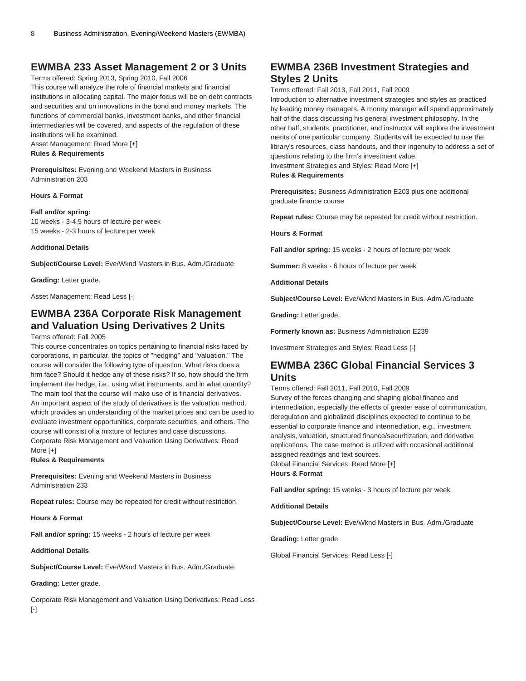### **EWMBA 233 Asset Management 2 or 3 Units**

Terms offered: Spring 2013, Spring 2010, Fall 2006 This course will analyze the role of financial markets and financial institutions in allocating capital. The major focus will be on debt contracts and securities and on innovations in the bond and money markets. The functions of commercial banks, investment banks, and other financial intermediaries will be covered, and aspects of the regulation of these institutions will be examined.

Asset Management: Read More [+]

#### **Rules & Requirements**

**Prerequisites:** Evening and Weekend Masters in Business Administration 203

#### **Hours & Format**

#### **Fall and/or spring:**

10 weeks - 3-4.5 hours of lecture per week 15 weeks - 2-3 hours of lecture per week

#### **Additional Details**

**Subject/Course Level:** Eve/Wknd Masters in Bus. Adm./Graduate

**Grading:** Letter grade.

Asset Management: Read Less [-]

### **EWMBA 236A Corporate Risk Management and Valuation Using Derivatives 2 Units**

#### Terms offered: Fall 2005

This course concentrates on topics pertaining to financial risks faced by corporations, in particular, the topics of "hedging" and "valuation." The course will consider the following type of question. What risks does a firm face? Should it hedge any of these risks? If so, how should the firm implement the hedge, i.e., using what instruments, and in what quantity? The main tool that the course will make use of is financial derivatives. An important aspect of the study of derivatives is the valuation method, which provides an understanding of the market prices and can be used to evaluate investment opportunities, corporate securities, and others. The course will consist of a mixture of lectures and case discussions. Corporate Risk Management and Valuation Using Derivatives: Read More [+]

#### **Rules & Requirements**

**Prerequisites:** Evening and Weekend Masters in Business Administration 233

**Repeat rules:** Course may be repeated for credit without restriction.

**Hours & Format**

**Fall and/or spring:** 15 weeks - 2 hours of lecture per week

**Additional Details**

**Subject/Course Level:** Eve/Wknd Masters in Bus. Adm./Graduate

**Grading:** Letter grade.

Corporate Risk Management and Valuation Using Derivatives: Read Less [-]

### **EWMBA 236B Investment Strategies and Styles 2 Units**

Terms offered: Fall 2013, Fall 2011, Fall 2009

Introduction to alternative investment strategies and styles as practiced by leading money managers. A money manager will spend approximately half of the class discussing his general investment philosophy. In the other half, students, practitioner, and instructor will explore the investment merits of one particular company. Students will be expected to use the library's resources, class handouts, and their ingenuity to address a set of questions relating to the firm's investment value. Investment Strategies and Styles: Read More [+]

**Rules & Requirements**

**Prerequisites:** Business Administration E203 plus one additional graduate finance course

**Repeat rules:** Course may be repeated for credit without restriction.

**Hours & Format**

**Fall and/or spring:** 15 weeks - 2 hours of lecture per week

**Summer:** 8 weeks - 6 hours of lecture per week

**Additional Details**

**Subject/Course Level:** Eve/Wknd Masters in Bus. Adm./Graduate

**Grading:** Letter grade.

**Formerly known as:** Business Administration E239

Investment Strategies and Styles: Read Less [-]

### **EWMBA 236C Global Financial Services 3 Units**

Terms offered: Fall 2011, Fall 2010, Fall 2009

Survey of the forces changing and shaping global finance and intermediation, especially the effects of greater ease of communication, deregulation and globalized disciplines expected to continue to be essential to corporate finance and intermediation, e.g., investment analysis, valuation, structured finance/securitization, and derivative applications. The case method is utilized with occasional additional assigned readings and text sources. Global Financial Services: Read More [+]

**Hours & Format**

**Fall and/or spring:** 15 weeks - 3 hours of lecture per week

**Additional Details**

**Subject/Course Level:** Eve/Wknd Masters in Bus. Adm./Graduate

**Grading:** Letter grade.

Global Financial Services: Read Less [-]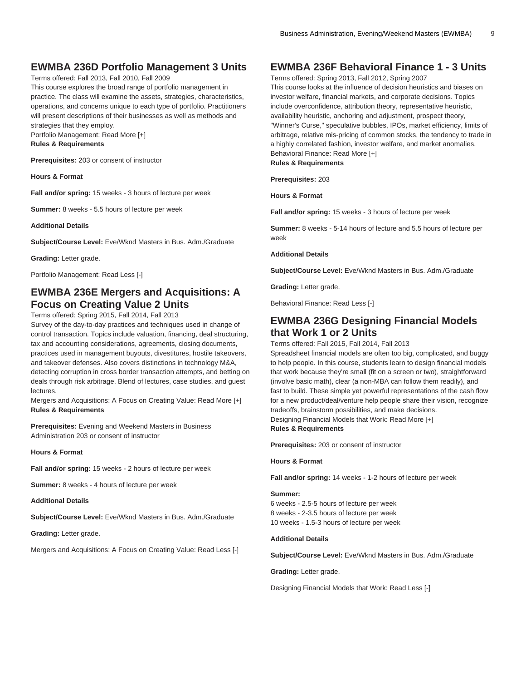### **EWMBA 236D Portfolio Management 3 Units**

Terms offered: Fall 2013, Fall 2010, Fall 2009

This course explores the broad range of portfolio management in practice. The class will examine the assets, strategies, characteristics, operations, and concerns unique to each type of portfolio. Practitioners will present descriptions of their businesses as well as methods and strategies that they employ.

Portfolio Management: Read More [+] **Rules & Requirements**

**Prerequisites:** 203 or consent of instructor

**Hours & Format**

**Fall and/or spring:** 15 weeks - 3 hours of lecture per week

**Summer:** 8 weeks - 5.5 hours of lecture per week

**Additional Details**

**Subject/Course Level:** Eve/Wknd Masters in Bus. Adm./Graduate

**Grading:** Letter grade.

Portfolio Management: Read Less [-]

### **EWMBA 236E Mergers and Acquisitions: A Focus on Creating Value 2 Units**

Terms offered: Spring 2015, Fall 2014, Fall 2013

Survey of the day-to-day practices and techniques used in change of control transaction. Topics include valuation, financing, deal structuring, tax and accounting considerations, agreements, closing documents, practices used in management buyouts, divestitures, hostile takeovers, and takeover defenses. Also covers distinctions in technology M&A, detecting corruption in cross border transaction attempts, and betting on deals through risk arbitrage. Blend of lectures, case studies, and guest lectures.

Mergers and Acquisitions: A Focus on Creating Value: Read More [+] **Rules & Requirements**

**Prerequisites:** Evening and Weekend Masters in Business Administration 203 or consent of instructor

**Hours & Format**

**Fall and/or spring:** 15 weeks - 2 hours of lecture per week

**Summer:** 8 weeks - 4 hours of lecture per week

**Additional Details**

**Subject/Course Level:** Eve/Wknd Masters in Bus. Adm./Graduate

**Grading:** Letter grade.

Mergers and Acquisitions: A Focus on Creating Value: Read Less [-]

### **EWMBA 236F Behavioral Finance 1 - 3 Units**

Terms offered: Spring 2013, Fall 2012, Spring 2007

This course looks at the influence of decision heuristics and biases on investor welfare, financial markets, and corporate decisions. Topics include overconfidence, attribution theory, representative heuristic, availability heuristic, anchoring and adjustment, prospect theory, "Winner's Curse," speculative bubbles, IPOs, market efficiency, limits of arbitrage, relative mis-pricing of common stocks, the tendency to trade in a highly correlated fashion, investor welfare, and market anomalies. Behavioral Finance: Read More [+]

**Rules & Requirements**

**Prerequisites:** 203

**Hours & Format**

**Fall and/or spring:** 15 weeks - 3 hours of lecture per week

**Summer:** 8 weeks - 5-14 hours of lecture and 5.5 hours of lecture per week

**Additional Details**

**Subject/Course Level:** Eve/Wknd Masters in Bus. Adm./Graduate

**Grading:** Letter grade.

Behavioral Finance: Read Less [-]

### **EWMBA 236G Designing Financial Models that Work 1 or 2 Units**

Terms offered: Fall 2015, Fall 2014, Fall 2013

Spreadsheet financial models are often too big, complicated, and buggy to help people. In this course, students learn to design financial models that work because they're small (fit on a screen or two), straightforward (involve basic math), clear (a non-MBA can follow them readily), and fast to build. These simple yet powerful representations of the cash flow for a new product/deal/venture help people share their vision, recognize tradeoffs, brainstorm possibilities, and make decisions. Designing Financial Models that Work: Read More [+]

**Rules & Requirements**

**Prerequisites:** 203 or consent of instructor

**Hours & Format**

**Fall and/or spring:** 14 weeks - 1-2 hours of lecture per week

#### **Summer:**

6 weeks - 2.5-5 hours of lecture per week 8 weeks - 2-3.5 hours of lecture per week 10 weeks - 1.5-3 hours of lecture per week

#### **Additional Details**

**Subject/Course Level:** Eve/Wknd Masters in Bus. Adm./Graduate

**Grading:** Letter grade.

Designing Financial Models that Work: Read Less [-]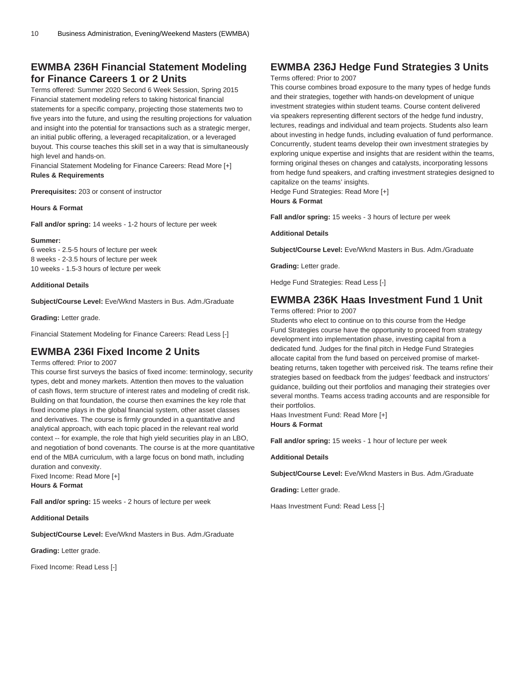### **EWMBA 236H Financial Statement Modeling for Finance Careers 1 or 2 Units**

Terms offered: Summer 2020 Second 6 Week Session, Spring 2015 Financial statement modeling refers to taking historical financial statements for a specific company, projecting those statements two to five years into the future, and using the resulting projections for valuation and insight into the potential for transactions such as a strategic merger, an initial public offering, a leveraged recapitalization, or a leveraged buyout. This course teaches this skill set in a way that is simultaneously high level and hands-on.

Financial Statement Modeling for Finance Careers: Read More [+] **Rules & Requirements**

**Prerequisites:** 203 or consent of instructor

**Hours & Format**

**Fall and/or spring:** 14 weeks - 1-2 hours of lecture per week

#### **Summer:**

6 weeks - 2.5-5 hours of lecture per week 8 weeks - 2-3.5 hours of lecture per week 10 weeks - 1.5-3 hours of lecture per week

#### **Additional Details**

**Subject/Course Level:** Eve/Wknd Masters in Bus. Adm./Graduate

**Grading:** Letter grade.

Financial Statement Modeling for Finance Careers: Read Less [-]

### **EWMBA 236I Fixed Income 2 Units**

Terms offered: Prior to 2007

This course first surveys the basics of fixed income: terminology, security types, debt and money markets. Attention then moves to the valuation of cash flows, term structure of interest rates and modeling of credit risk. Building on that foundation, the course then examines the key role that fixed income plays in the global financial system, other asset classes and derivatives. The course is firmly grounded in a quantitative and analytical approach, with each topic placed in the relevant real world context -- for example, the role that high yield securities play in an LBO, and negotiation of bond covenants. The course is at the more quantitative end of the MBA curriculum, with a large focus on bond math, including duration and convexity.

Fixed Income: Read More [+] **Hours & Format**

**Fall and/or spring:** 15 weeks - 2 hours of lecture per week

**Additional Details**

**Subject/Course Level:** Eve/Wknd Masters in Bus. Adm./Graduate

**Grading:** Letter grade.

Fixed Income: Read Less [-]

### **EWMBA 236J Hedge Fund Strategies 3 Units**

#### Terms offered: Prior to 2007

This course combines broad exposure to the many types of hedge funds and their strategies, together with hands-on development of unique investment strategies within student teams. Course content delivered via speakers representing different sectors of the hedge fund industry, lectures, readings and individual and team projects. Students also learn about investing in hedge funds, including evaluation of fund performance. Concurrently, student teams develop their own investment strategies by exploring unique expertise and insights that are resident within the teams, forming original theses on changes and catalysts, incorporating lessons from hedge fund speakers, and crafting investment strategies designed to capitalize on the teams' insights.

Hedge Fund Strategies: Read More [+] **Hours & Format**

**Fall and/or spring:** 15 weeks - 3 hours of lecture per week

#### **Additional Details**

**Subject/Course Level:** Eve/Wknd Masters in Bus. Adm./Graduate

**Grading:** Letter grade.

Hedge Fund Strategies: Read Less [-]

### **EWMBA 236K Haas Investment Fund 1 Unit**

Terms offered: Prior to 2007

Students who elect to continue on to this course from the Hedge Fund Strategies course have the opportunity to proceed from strategy development into implementation phase, investing capital from a dedicated fund. Judges for the final pitch in Hedge Fund Strategies allocate capital from the fund based on perceived promise of marketbeating returns, taken together with perceived risk. The teams refine their strategies based on feedback from the judges' feedback and instructors' guidance, building out their portfolios and managing their strategies over several months. Teams access trading accounts and are responsible for their portfolios.

Haas Investment Fund: Read More [+] **Hours & Format**

**Fall and/or spring:** 15 weeks - 1 hour of lecture per week

#### **Additional Details**

**Subject/Course Level:** Eve/Wknd Masters in Bus. Adm./Graduate

**Grading:** Letter grade.

Haas Investment Fund: Read Less [-]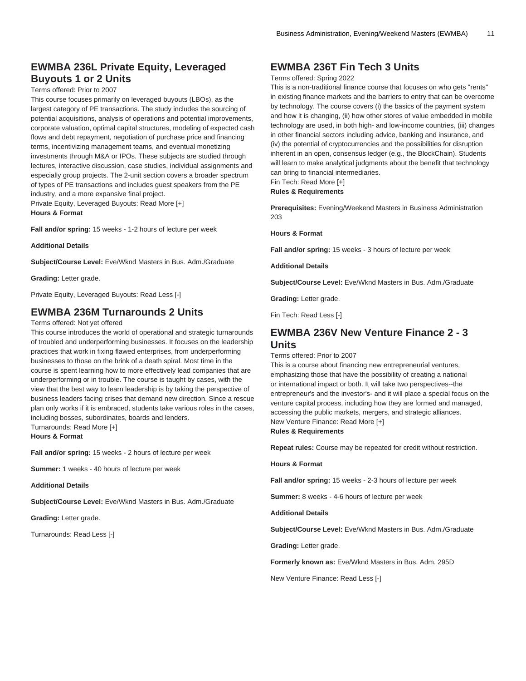### **EWMBA 236L Private Equity, Leveraged Buyouts 1 or 2 Units**

#### Terms offered: Prior to 2007

This course focuses primarily on leveraged buyouts (LBOs), as the largest category of PE transactions. The study includes the sourcing of potential acquisitions, analysis of operations and potential improvements, corporate valuation, optimal capital structures, modeling of expected cash flows and debt repayment, negotiation of purchase price and financing terms, incentivizing management teams, and eventual monetizing investments through M&A or IPOs. These subjects are studied through lectures, interactive discussion, case studies, individual assignments and especially group projects. The 2-unit section covers a broader spectrum of types of PE transactions and includes guest speakers from the PE industry, and a more expansive final project.

Private Equity, Leveraged Buyouts: Read More [+] **Hours & Format**

**Fall and/or spring:** 15 weeks - 1-2 hours of lecture per week

**Additional Details**

**Subject/Course Level:** Eve/Wknd Masters in Bus. Adm./Graduate

**Grading:** Letter grade.

Private Equity, Leveraged Buyouts: Read Less [-]

### **EWMBA 236M Turnarounds 2 Units**

Terms offered: Not yet offered

This course introduces the world of operational and strategic turnarounds of troubled and underperforming businesses. It focuses on the leadership practices that work in fixing flawed enterprises, from underperforming businesses to those on the brink of a death spiral. Most time in the course is spent learning how to more effectively lead companies that are underperforming or in trouble. The course is taught by cases, with the view that the best way to learn leadership is by taking the perspective of business leaders facing crises that demand new direction. Since a rescue plan only works if it is embraced, students take various roles in the cases, including bosses, subordinates, boards and lenders.

Turnarounds: Read More [+]

**Hours & Format**

**Fall and/or spring:** 15 weeks - 2 hours of lecture per week

**Summer:** 1 weeks - 40 hours of lecture per week

**Additional Details**

**Subject/Course Level:** Eve/Wknd Masters in Bus. Adm./Graduate

**Grading:** Letter grade.

Turnarounds: Read Less [-]

### **EWMBA 236T Fin Tech 3 Units**

#### Terms offered: Spring 2022

This is a non-traditional finance course that focuses on who gets "rents" in existing finance markets and the barriers to entry that can be overcome by technology. The course covers (i) the basics of the payment system and how it is changing, (ii) how other stores of value embedded in mobile technology are used, in both high- and low-income countries, (iii) changes in other financial sectors including advice, banking and insurance, and (iv) the potential of cryptocurrencies and the possibilities for disruption inherent in an open, consensus ledger (e.g., the BlockChain). Students will learn to make analytical judgments about the benefit that technology can bring to financial intermediaries. Fin Tech: Read More [+]

**Rules & Requirements**

**Prerequisites:** Evening/Weekend Masters in Business Administration 203

**Hours & Format**

**Fall and/or spring:** 15 weeks - 3 hours of lecture per week

**Additional Details**

**Subject/Course Level:** Eve/Wknd Masters in Bus. Adm./Graduate

**Grading:** Letter grade.

Fin Tech: Read Less [-]

### **EWMBA 236V New Venture Finance 2 - 3 Units**

Terms offered: Prior to 2007

This is a course about financing new entrepreneurial ventures, emphasizing those that have the possibility of creating a national or international impact or both. It will take two perspectives--the entrepreneur's and the investor's- and it will place a special focus on the venture capital process, including how they are formed and managed, accessing the public markets, mergers, and strategic alliances. New Venture Finance: Read More [+]

#### **Rules & Requirements**

**Repeat rules:** Course may be repeated for credit without restriction.

#### **Hours & Format**

**Fall and/or spring:** 15 weeks - 2-3 hours of lecture per week

**Summer:** 8 weeks - 4-6 hours of lecture per week

**Additional Details**

**Subject/Course Level:** Eve/Wknd Masters in Bus. Adm./Graduate

**Grading:** Letter grade.

**Formerly known as:** Eve/Wknd Masters in Bus. Adm. 295D

New Venture Finance: Read Less [-]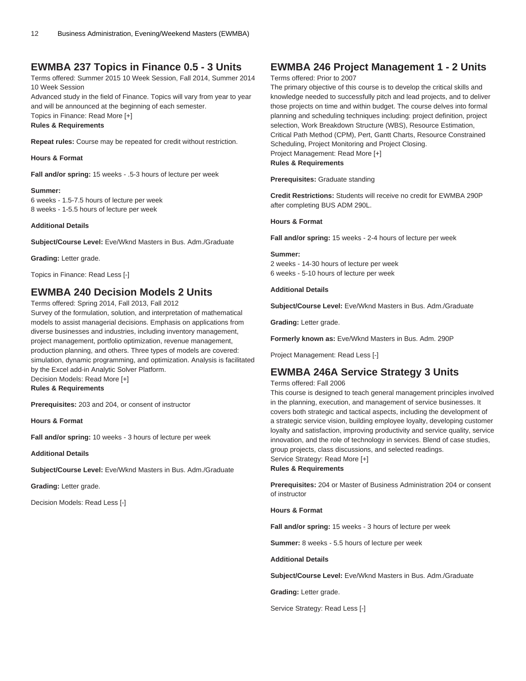### **EWMBA 237 Topics in Finance 0.5 - 3 Units**

Terms offered: Summer 2015 10 Week Session, Fall 2014, Summer 2014 10 Week Session

Advanced study in the field of Finance. Topics will vary from year to year and will be announced at the beginning of each semester. Topics in Finance: Read More [+]

**Rules & Requirements**

**Repeat rules:** Course may be repeated for credit without restriction.

**Hours & Format**

**Fall and/or spring:** 15 weeks - .5-3 hours of lecture per week

**Summer:** 6 weeks - 1.5-7.5 hours of lecture per week 8 weeks - 1-5.5 hours of lecture per week

**Additional Details**

**Subject/Course Level:** Eve/Wknd Masters in Bus. Adm./Graduate

**Grading:** Letter grade.

Topics in Finance: Read Less [-]

### **EWMBA 240 Decision Models 2 Units**

Terms offered: Spring 2014, Fall 2013, Fall 2012

Survey of the formulation, solution, and interpretation of mathematical models to assist managerial decisions. Emphasis on applications from diverse businesses and industries, including inventory management, project management, portfolio optimization, revenue management, production planning, and others. Three types of models are covered: simulation, dynamic programming, and optimization. Analysis is facilitated by the Excel add-in Analytic Solver Platform. Decision Models: Read More [+]

**Rules & Requirements**

**Prerequisites:** 203 and 204, or consent of instructor

**Hours & Format**

**Fall and/or spring:** 10 weeks - 3 hours of lecture per week

**Additional Details**

**Subject/Course Level:** Eve/Wknd Masters in Bus. Adm./Graduate

**Grading:** Letter grade.

Decision Models: Read Less [-]

### **EWMBA 246 Project Management 1 - 2 Units**

#### Terms offered: Prior to 2007

The primary objective of this course is to develop the critical skills and knowledge needed to successfully pitch and lead projects, and to deliver those projects on time and within budget. The course delves into formal planning and scheduling techniques including: project definition, project selection, Work Breakdown Structure (WBS), Resource Estimation, Critical Path Method (CPM), Pert, Gantt Charts, Resource Constrained Scheduling, Project Monitoring and Project Closing. Project Management: Read More [+] **Rules & Requirements**

**Prerequisites:** Graduate standing

**Credit Restrictions:** Students will receive no credit for EWMBA 290P after completing BUS ADM 290L.

**Hours & Format**

**Fall and/or spring:** 15 weeks - 2-4 hours of lecture per week

#### **Summer:**

2 weeks - 14-30 hours of lecture per week 6 weeks - 5-10 hours of lecture per week

**Additional Details**

**Subject/Course Level:** Eve/Wknd Masters in Bus. Adm./Graduate

**Grading:** Letter grade.

**Formerly known as:** Eve/Wknd Masters in Bus. Adm. 290P

Project Management: Read Less [-]

### **EWMBA 246A Service Strategy 3 Units**

Terms offered: Fall 2006

This course is designed to teach general management principles involved in the planning, execution, and management of service businesses. It covers both strategic and tactical aspects, including the development of a strategic service vision, building employee loyalty, developing customer loyalty and satisfaction, improving productivity and service quality, service innovation, and the role of technology in services. Blend of case studies, group projects, class discussions, and selected readings. Service Strategy: Read More [+]

**Rules & Requirements**

**Prerequisites:** 204 or Master of Business Administration 204 or consent of instructor

**Hours & Format**

**Fall and/or spring:** 15 weeks - 3 hours of lecture per week

**Summer:** 8 weeks - 5.5 hours of lecture per week

**Additional Details**

**Subject/Course Level:** Eve/Wknd Masters in Bus. Adm./Graduate

**Grading:** Letter grade.

Service Strategy: Read Less [-]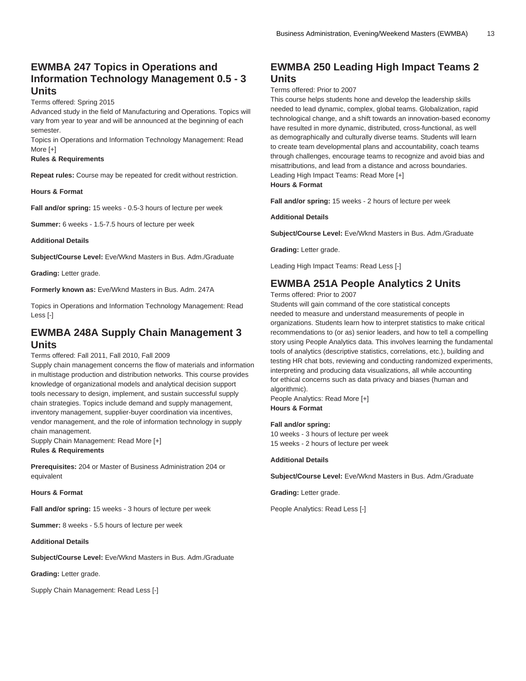### **EWMBA 247 Topics in Operations and Information Technology Management 0.5 - 3 Units**

Terms offered: Spring 2015

Advanced study in the field of Manufacturing and Operations. Topics will vary from year to year and will be announced at the beginning of each semester.

Topics in Operations and Information Technology Management: Read More [+]

#### **Rules & Requirements**

**Repeat rules:** Course may be repeated for credit without restriction.

**Hours & Format**

**Fall and/or spring:** 15 weeks - 0.5-3 hours of lecture per week

**Summer:** 6 weeks - 1.5-7.5 hours of lecture per week

**Additional Details**

**Subject/Course Level:** Eve/Wknd Masters in Bus. Adm./Graduate

**Grading:** Letter grade.

**Formerly known as:** Eve/Wknd Masters in Bus. Adm. 247A

Topics in Operations and Information Technology Management: Read Less [-]

#### **EWMBA 248A Supply Chain Management 3 Units**

Terms offered: Fall 2011, Fall 2010, Fall 2009

Supply chain management concerns the flow of materials and information in multistage production and distribution networks. This course provides knowledge of organizational models and analytical decision support tools necessary to design, implement, and sustain successful supply chain strategies. Topics include demand and supply management, inventory management, supplier-buyer coordination via incentives, vendor management, and the role of information technology in supply chain management.

Supply Chain Management: Read More [+] **Rules & Requirements**

**Prerequisites:** 204 or Master of Business Administration 204 or equivalent

**Hours & Format**

**Fall and/or spring:** 15 weeks - 3 hours of lecture per week

**Summer:** 8 weeks - 5.5 hours of lecture per week

**Additional Details**

**Subject/Course Level:** Eve/Wknd Masters in Bus. Adm./Graduate

**Grading:** Letter grade.

Supply Chain Management: Read Less [-]

### **EWMBA 250 Leading High Impact Teams 2 Units**

#### Terms offered: Prior to 2007

This course helps students hone and develop the leadership skills needed to lead dynamic, complex, global teams. Globalization, rapid technological change, and a shift towards an innovation-based economy have resulted in more dynamic, distributed, cross-functional, as well as demographically and culturally diverse teams. Students will learn to create team developmental plans and accountability, coach teams through challenges, encourage teams to recognize and avoid bias and misattributions, and lead from a distance and across boundaries. Leading High Impact Teams: Read More [+] **Hours & Format**

**Fall and/or spring:** 15 weeks - 2 hours of lecture per week

**Additional Details**

**Subject/Course Level:** Eve/Wknd Masters in Bus. Adm./Graduate

**Grading:** Letter grade.

Leading High Impact Teams: Read Less [-]

#### **EWMBA 251A People Analytics 2 Units**

Terms offered: Prior to 2007

Students will gain command of the core statistical concepts needed to measure and understand measurements of people in organizations. Students learn how to interpret statistics to make critical recommendations to (or as) senior leaders, and how to tell a compelling story using People Analytics data. This involves learning the fundamental tools of analytics (descriptive statistics, correlations, etc.), building and testing HR chat bots, reviewing and conducting randomized experiments, interpreting and producing data visualizations, all while accounting for ethical concerns such as data privacy and biases (human and algorithmic).

People Analytics: Read More [+] **Hours & Format**

#### **Fall and/or spring:**

10 weeks - 3 hours of lecture per week 15 weeks - 2 hours of lecture per week

#### **Additional Details**

**Subject/Course Level:** Eve/Wknd Masters in Bus. Adm./Graduate

**Grading:** Letter grade.

People Analytics: Read Less [-]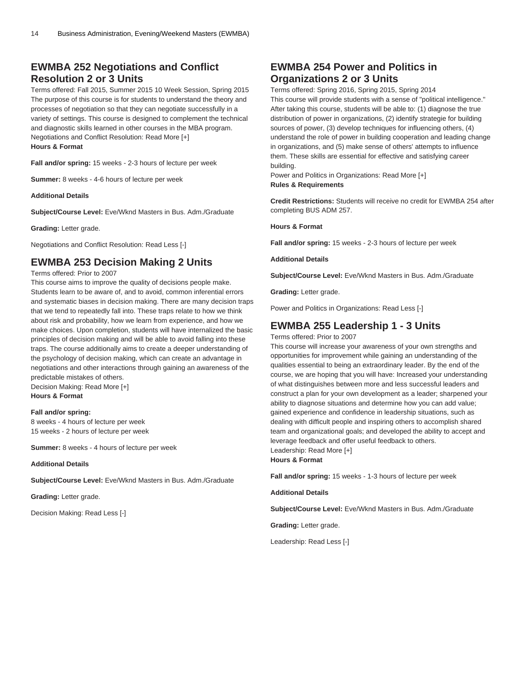### **EWMBA 252 Negotiations and Conflict Resolution 2 or 3 Units**

Terms offered: Fall 2015, Summer 2015 10 Week Session, Spring 2015 The purpose of this course is for students to understand the theory and processes of negotiation so that they can negotiate successfully in a variety of settings. This course is designed to complement the technical and diagnostic skills learned in other courses in the MBA program. Negotiations and Conflict Resolution: Read More [+] **Hours & Format**

**Fall and/or spring:** 15 weeks - 2-3 hours of lecture per week

**Summer:** 8 weeks - 4-6 hours of lecture per week

**Additional Details**

**Subject/Course Level:** Eve/Wknd Masters in Bus. Adm./Graduate

**Grading:** Letter grade.

Negotiations and Conflict Resolution: Read Less [-]

### **EWMBA 253 Decision Making 2 Units**

Terms offered: Prior to 2007

This course aims to improve the quality of decisions people make. Students learn to be aware of, and to avoid, common inferential errors and systematic biases in decision making. There are many decision traps that we tend to repeatedly fall into. These traps relate to how we think about risk and probability, how we learn from experience, and how we make choices. Upon completion, students will have internalized the basic principles of decision making and will be able to avoid falling into these traps. The course additionally aims to create a deeper understanding of the psychology of decision making, which can create an advantage in negotiations and other interactions through gaining an awareness of the predictable mistakes of others.

Decision Making: Read More [+] **Hours & Format**

#### **Fall and/or spring:**

8 weeks - 4 hours of lecture per week 15 weeks - 2 hours of lecture per week

**Summer:** 8 weeks - 4 hours of lecture per week

**Additional Details**

**Subject/Course Level:** Eve/Wknd Masters in Bus. Adm./Graduate

**Grading:** Letter grade.

Decision Making: Read Less [-]

### **EWMBA 254 Power and Politics in Organizations 2 or 3 Units**

Terms offered: Spring 2016, Spring 2015, Spring 2014 This course will provide students with a sense of "political intelligence." After taking this course, students will be able to: (1) diagnose the true distribution of power in organizations, (2) identify strategie for building sources of power, (3) develop techniques for influencing others, (4) understand the role of power in building cooperation and leading change in organizations, and (5) make sense of others' attempts to influence them. These skills are essential for effective and satisfying career building.

Power and Politics in Organizations: Read More [+] **Rules & Requirements**

**Credit Restrictions:** Students will receive no credit for [EWMBA 254](/search/?P=EWMBA%20254) after completing BUS ADM 257.

**Hours & Format**

**Fall and/or spring:** 15 weeks - 2-3 hours of lecture per week

**Additional Details**

**Subject/Course Level:** Eve/Wknd Masters in Bus. Adm./Graduate

**Grading:** Letter grade.

Power and Politics in Organizations: Read Less [-]

### **EWMBA 255 Leadership 1 - 3 Units**

Terms offered: Prior to 2007

This course will increase your awareness of your own strengths and opportunities for improvement while gaining an understanding of the qualities essential to being an extraordinary leader. By the end of the course, we are hoping that you will have: Increased your understanding of what distinguishes between more and less successful leaders and construct a plan for your own development as a leader; sharpened your ability to diagnose situations and determine how you can add value; gained experience and confidence in leadership situations, such as dealing with difficult people and inspiring others to accomplish shared team and organizational goals; and developed the ability to accept and leverage feedback and offer useful feedback to others. Leadership: Read More [+]

**Hours & Format**

**Fall and/or spring:** 15 weeks - 1-3 hours of lecture per week

**Additional Details**

**Subject/Course Level:** Eve/Wknd Masters in Bus. Adm./Graduate

**Grading:** Letter grade.

Leadership: Read Less [-]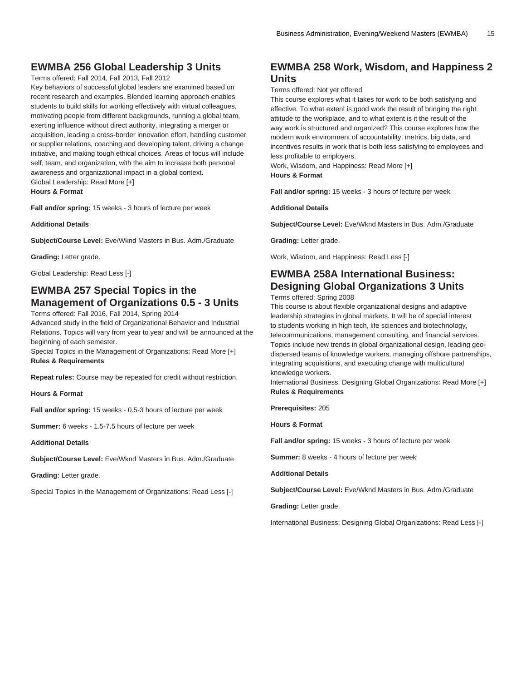### **EWMBA 256 Global Leadership 3 Units**

#### Terms offered: Fall 2014, Fall 2013, Fall 2012

Key behaviors of successful global leaders are examined based on recent research and examples. Blended learning approach enables students to build skills for working effectively with virtual colleagues, motivating people from different backgrounds, running a global team, exerting influence without direct authority, integrating a merger or acquisition, leading a cross-border innovation effort, handling customer or supplier relations, coaching and developing talent, driving a change initiative, and making tough ethical choices. Areas of focus will include self, team, and organization, with the aim to increase both personal awareness and organizational impact in a global context. Global Leadership: Read More [+]

**Hours & Format**

**Fall and/or spring:** 15 weeks - 3 hours of lecture per week

**Additional Details**

**Subject/Course Level:** Eve/Wknd Masters in Bus. Adm./Graduate

**Grading:** Letter grade.

Global Leadership: Read Less [-]

### **EWMBA 257 Special Topics in the Management of Organizations 0.5 - 3 Units**

Terms offered: Fall 2016, Fall 2014, Spring 2014

Advanced study in the field of Organizational Behavior and Industrial Relations. Topics will vary from year to year and will be announced at the beginning of each semester.

Special Topics in the Management of Organizations: Read More [+] **Rules & Requirements**

**Repeat rules:** Course may be repeated for credit without restriction.

**Hours & Format**

**Fall and/or spring:** 15 weeks - 0.5-3 hours of lecture per week

**Summer:** 6 weeks - 1.5-7.5 hours of lecture per week

**Additional Details**

**Subject/Course Level:** Eve/Wknd Masters in Bus. Adm./Graduate

**Grading:** Letter grade.

Special Topics in the Management of Organizations: Read Less [-]

### **EWMBA 258 Work, Wisdom, and Happiness 2 Units**

Terms offered: Not yet offered

This course explores what it takes for work to be both satisfying and effective. To what extent is good work the result of bringing the right attitude to the workplace, and to what extent is it the result of the way work is structured and organized? This course explores how the modern work environment of accountability, metrics, big data, and incentives results in work that is both less satisfying to employees and less profitable to employers.

Work, Wisdom, and Happiness: Read More [+] **Hours & Format**

**Fall and/or spring:** 15 weeks - 3 hours of lecture per week

**Additional Details**

**Subject/Course Level:** Eve/Wknd Masters in Bus. Adm./Graduate

**Grading:** Letter grade.

Work, Wisdom, and Happiness: Read Less [-]

### **EWMBA 258A International Business: Designing Global Organizations 3 Units**

Terms offered: Spring 2008

This course is about flexible organizational designs and adaptive leadership strategies in global markets. It will be of special interest to students working in high tech, life sciences and biotechnology, telecommunications, management consulting, and financial services. Topics include new trends in global organizational design, leading geodispersed teams of knowledge workers, managing offshore partnerships, integrating acquisitions, and executing change with multicultural knowledge workers.

International Business: Designing Global Organizations: Read More [+] **Rules & Requirements**

**Prerequisites:** 205

**Hours & Format**

**Fall and/or spring:** 15 weeks - 3 hours of lecture per week

**Summer:** 8 weeks - 4 hours of lecture per week

**Additional Details**

**Subject/Course Level:** Eve/Wknd Masters in Bus. Adm./Graduate

**Grading:** Letter grade.

International Business: Designing Global Organizations: Read Less [-]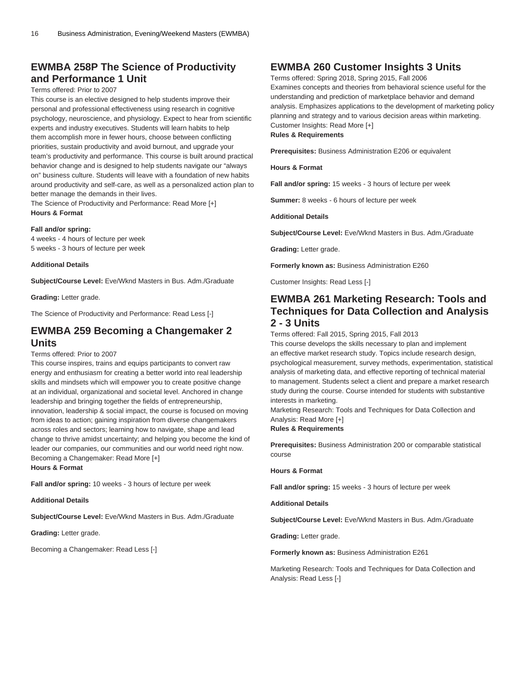### **EWMBA 258P The Science of Productivity and Performance 1 Unit**

#### Terms offered: Prior to 2007

This course is an elective designed to help students improve their personal and professional effectiveness using research in cognitive psychology, neuroscience, and physiology. Expect to hear from scientific experts and industry executives. Students will learn habits to help them accomplish more in fewer hours, choose between conflicting priorities, sustain productivity and avoid burnout, and upgrade your team's productivity and performance. This course is built around practical behavior change and is designed to help students navigate our "always on" business culture. Students will leave with a foundation of new habits around productivity and self-care, as well as a personalized action plan to better manage the demands in their lives.

The Science of Productivity and Performance: Read More [+] **Hours & Format**

#### **Fall and/or spring:**

4 weeks - 4 hours of lecture per week 5 weeks - 3 hours of lecture per week

#### **Additional Details**

**Subject/Course Level:** Eve/Wknd Masters in Bus. Adm./Graduate

**Grading:** Letter grade.

The Science of Productivity and Performance: Read Less [-]

### **EWMBA 259 Becoming a Changemaker 2 Units**

#### Terms offered: Prior to 2007

This course inspires, trains and equips participants to convert raw energy and enthusiasm for creating a better world into real leadership skills and mindsets which will empower you to create positive change at an individual, organizational and societal level. Anchored in change leadership and bringing together the fields of entrepreneurship, innovation, leadership & social impact, the course is focused on moving from ideas to action; gaining inspiration from diverse changemakers across roles and sectors; learning how to navigate, shape and lead change to thrive amidst uncertainty; and helping you become the kind of leader our companies, our communities and our world need right now. Becoming a Changemaker: Read More [+] **Hours & Format**

**Fall and/or spring:** 10 weeks - 3 hours of lecture per week

**Additional Details**

**Subject/Course Level:** Eve/Wknd Masters in Bus. Adm./Graduate

**Grading:** Letter grade.

Becoming a Changemaker: Read Less [-]

### **EWMBA 260 Customer Insights 3 Units**

Terms offered: Spring 2018, Spring 2015, Fall 2006 Examines concepts and theories from behavioral science useful for the understanding and prediction of marketplace behavior and demand analysis. Emphasizes applications to the development of marketing policy planning and strategy and to various decision areas within marketing. Customer Insights: Read More [+]

**Rules & Requirements**

**Prerequisites:** Business Administration E206 or equivalent

**Hours & Format**

**Fall and/or spring:** 15 weeks - 3 hours of lecture per week

**Summer:** 8 weeks - 6 hours of lecture per week

**Additional Details**

**Subject/Course Level:** Eve/Wknd Masters in Bus. Adm./Graduate

**Grading:** Letter grade.

**Formerly known as:** Business Administration E260

Customer Insights: Read Less [-]

### **EWMBA 261 Marketing Research: Tools and Techniques for Data Collection and Analysis 2 - 3 Units**

Terms offered: Fall 2015, Spring 2015, Fall 2013

This course develops the skills necessary to plan and implement an effective market research study. Topics include research design, psychological measurement, survey methods, experimentation, statistical analysis of marketing data, and effective reporting of technical material to management. Students select a client and prepare a market research study during the course. Course intended for students with substantive interests in marketing.

Marketing Research: Tools and Techniques for Data Collection and Analysis: Read More [+]

**Rules & Requirements**

**Prerequisites:** Business Administration 200 or comparable statistical course

#### **Hours & Format**

**Fall and/or spring:** 15 weeks - 3 hours of lecture per week

**Additional Details**

**Subject/Course Level:** Eve/Wknd Masters in Bus. Adm./Graduate

**Grading:** Letter grade.

**Formerly known as:** Business Administration E261

Marketing Research: Tools and Techniques for Data Collection and Analysis: Read Less [-]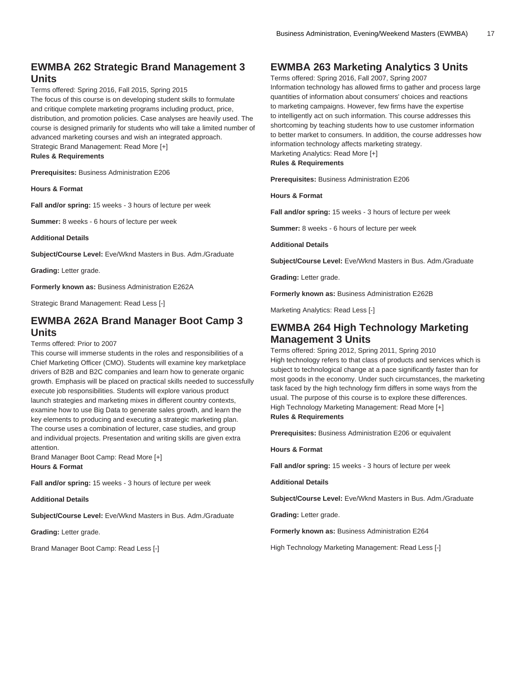### **EWMBA 262 Strategic Brand Management 3 Units**

Terms offered: Spring 2016, Fall 2015, Spring 2015 The focus of this course is on developing student skills to formulate and critique complete marketing programs including product, price, distribution, and promotion policies. Case analyses are heavily used. The course is designed primarily for students who will take a limited number of advanced marketing courses and wish an integrated approach. Strategic Brand Management: Read More [+] **Rules & Requirements**

**Prerequisites:** Business Administration E206

**Hours & Format**

**Fall and/or spring:** 15 weeks - 3 hours of lecture per week

**Summer:** 8 weeks - 6 hours of lecture per week

**Additional Details**

**Subject/Course Level:** Eve/Wknd Masters in Bus. Adm./Graduate

**Grading:** Letter grade.

**Formerly known as:** Business Administration E262A

Strategic Brand Management: Read Less [-]

#### **EWMBA 262A Brand Manager Boot Camp 3 Units**

#### Terms offered: Prior to 2007

This course will immerse students in the roles and responsibilities of a Chief Marketing Officer (CMO). Students will examine key marketplace drivers of B2B and B2C companies and learn how to generate organic growth. Emphasis will be placed on practical skills needed to successfully execute job responsibilities. Students will explore various product launch strategies and marketing mixes in different country contexts, examine how to use Big Data to generate sales growth, and learn the key elements to producing and executing a strategic marketing plan. The course uses a combination of lecturer, case studies, and group and individual projects. Presentation and writing skills are given extra attention.

Brand Manager Boot Camp: Read More [+] **Hours & Format**

**Fall and/or spring:** 15 weeks - 3 hours of lecture per week

**Additional Details**

**Subject/Course Level:** Eve/Wknd Masters in Bus. Adm./Graduate

**Grading:** Letter grade.

Brand Manager Boot Camp: Read Less [-]

### **EWMBA 263 Marketing Analytics 3 Units**

Terms offered: Spring 2016, Fall 2007, Spring 2007 Information technology has allowed firms to gather and process large quantities of information about consumers' choices and reactions to marketing campaigns. However, few firms have the expertise to intelligently act on such information. This course addresses this shortcoming by teaching students how to use customer information to better market to consumers. In addition, the course addresses how information technology affects marketing strategy. Marketing Analytics: Read More [+]

**Rules & Requirements**

**Prerequisites:** Business Administration E206

**Hours & Format**

**Fall and/or spring:** 15 weeks - 3 hours of lecture per week

**Summer:** 8 weeks - 6 hours of lecture per week

**Additional Details**

**Subject/Course Level:** Eve/Wknd Masters in Bus. Adm./Graduate

**Grading:** Letter grade.

**Formerly known as:** Business Administration E262B

Marketing Analytics: Read Less [-]

### **EWMBA 264 High Technology Marketing Management 3 Units**

Terms offered: Spring 2012, Spring 2011, Spring 2010 High technology refers to that class of products and services which is subject to technological change at a pace significantly faster than for most goods in the economy. Under such circumstances, the marketing task faced by the high technology firm differs in some ways from the usual. The purpose of this course is to explore these differences. High Technology Marketing Management: Read More [+] **Rules & Requirements**

**Prerequisites:** Business Administration E206 or equivalent

**Hours & Format**

**Fall and/or spring:** 15 weeks - 3 hours of lecture per week

**Additional Details**

**Subject/Course Level:** Eve/Wknd Masters in Bus. Adm./Graduate

**Grading:** Letter grade.

**Formerly known as:** Business Administration E264

High Technology Marketing Management: Read Less [-]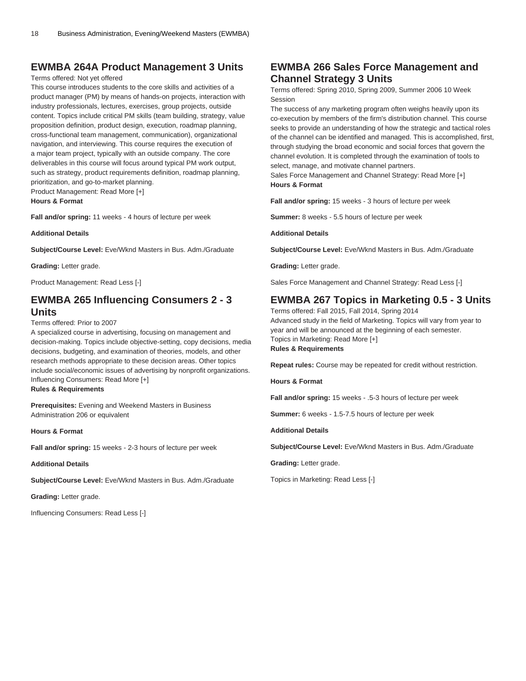### **EWMBA 264A Product Management 3 Units**

#### Terms offered: Not yet offered

This course introduces students to the core skills and activities of a product manager (PM) by means of hands-on projects, interaction with industry professionals, lectures, exercises, group projects, outside content. Topics include critical PM skills (team building, strategy, value proposition definition, product design, execution, roadmap planning, cross-functional team management, communication), organizational navigation, and interviewing. This course requires the execution of a major team project, typically with an outside company. The core deliverables in this course will focus around typical PM work output, such as strategy, product requirements definition, roadmap planning, prioritization, and go-to-market planning. Product Management: Read More [+]

**Hours & Format**

**Fall and/or spring:** 11 weeks - 4 hours of lecture per week

**Additional Details**

**Subject/Course Level:** Eve/Wknd Masters in Bus. Adm./Graduate

**Grading:** Letter grade.

Product Management: Read Less [-]

### **EWMBA 265 Influencing Consumers 2 - 3 Units**

Terms offered: Prior to 2007

A specialized course in advertising, focusing on management and decision-making. Topics include objective-setting, copy decisions, media decisions, budgeting, and examination of theories, models, and other research methods appropriate to these decision areas. Other topics include social/economic issues of advertising by nonprofit organizations. Influencing Consumers: Read More [+] **Rules & Requirements**

**Prerequisites:** Evening and Weekend Masters in Business Administration 206 or equivalent

**Hours & Format**

**Fall and/or spring:** 15 weeks - 2-3 hours of lecture per week

**Additional Details**

**Subject/Course Level:** Eve/Wknd Masters in Bus. Adm./Graduate

**Grading:** Letter grade.

Influencing Consumers: Read Less [-]

### **EWMBA 266 Sales Force Management and Channel Strategy 3 Units**

Terms offered: Spring 2010, Spring 2009, Summer 2006 10 Week Session

The success of any marketing program often weighs heavily upon its co-execution by members of the firm's distribution channel. This course seeks to provide an understanding of how the strategic and tactical roles of the channel can be identified and managed. This is accomplished, first, through studying the broad economic and social forces that govern the channel evolution. It is completed through the examination of tools to select, manage, and motivate channel partners.

Sales Force Management and Channel Strategy: Read More [+] **Hours & Format**

**Fall and/or spring:** 15 weeks - 3 hours of lecture per week

**Summer:** 8 weeks - 5.5 hours of lecture per week

**Additional Details**

**Subject/Course Level:** Eve/Wknd Masters in Bus. Adm./Graduate

**Grading:** Letter grade.

Sales Force Management and Channel Strategy: Read Less [-]

### **EWMBA 267 Topics in Marketing 0.5 - 3 Units**

Terms offered: Fall 2015, Fall 2014, Spring 2014 Advanced study in the field of Marketing. Topics will vary from year to year and will be announced at the beginning of each semester. Topics in Marketing: Read More [+] **Rules & Requirements**

**Repeat rules:** Course may be repeated for credit without restriction.

**Hours & Format**

**Fall and/or spring:** 15 weeks - .5-3 hours of lecture per week

**Summer:** 6 weeks - 1.5-7.5 hours of lecture per week

**Additional Details**

**Subject/Course Level:** Eve/Wknd Masters in Bus. Adm./Graduate

**Grading:** Letter grade.

Topics in Marketing: Read Less [-]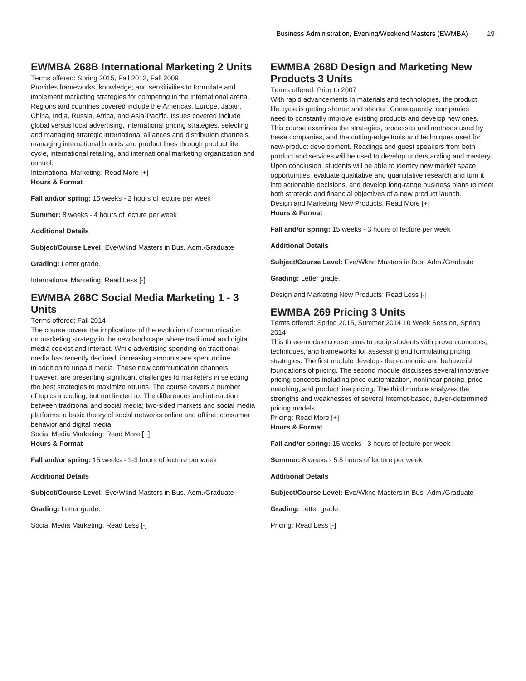### **EWMBA 268B International Marketing 2 Units**

Terms offered: Spring 2015, Fall 2012, Fall 2009

Provides frameworks, knowledge; and sensitivities to formulate and implement marketing strategies for competing in the international arena. Regions and countries covered include the Americas, Europe, Japan, China, India, Russia, Africa, and Asia-Pacific. Issues covered include global versus local advertising, international pricing strategies, selecting and managing strategic international alliances and distribution channels, managing international brands and product lines through product life cycle, international retailing, and internatiional marketing organization and control.

International Marketing: Read More [+] **Hours & Format**

**Fall and/or spring:** 15 weeks - 2 hours of lecture per week

**Summer:** 8 weeks - 4 hours of lecture per week

**Additional Details**

**Subject/Course Level:** Eve/Wknd Masters in Bus. Adm./Graduate

**Grading:** Letter grade.

International Marketing: Read Less [-]

### **EWMBA 268C Social Media Marketing 1 - 3 Units**

Terms offered: Fall 2014

The course covers the implications of the evolution of communication on marketing strategy in the new landscape where traditional and digital media coexist and interact. While advertising spending on traditional media has recently declined, increasing amounts are spent online in addition to unpaid media. These new communication channels, however, are presenting significant challenges to marketers in selecting the best strategies to maximize returns. The course covers a number of topics including, but not limited to: The differences and interaction between traditional and social media; two-sided markets and social media platforms; a basic theory of social networks online and offline; consumer behavior and digital media.

Social Media Marketing: Read More [+] **Hours & Format**

**Fall and/or spring:** 15 weeks - 1-3 hours of lecture per week

**Additional Details**

**Subject/Course Level:** Eve/Wknd Masters in Bus. Adm./Graduate

**Grading:** Letter grade.

Social Media Marketing: Read Less [-]

### **EWMBA 268D Design and Marketing New Products 3 Units**

#### Terms offered: Prior to 2007

With rapid advancements in materials and technologies, the product life cycle is getting shorter and shorter. Consequently, companies need to constantly improve existing products and develop new ones. This course examines the strategies, processes and methods used by these companies, and the cutting-edge tools and techniques used for new-product development. Readings and guest speakers from both product and services will be used to develop understanding and mastery. Upon conclusion, students will be able to identify new market space opportunities, evaluate qualitative and quantitative research and turn it into actionable decisions, and develop long-range business plans to meet both strategic and financial objectives of a new product launch. Design and Marketing New Products: Read More [+] **Hours & Format**

**Fall and/or spring:** 15 weeks - 3 hours of lecture per week

**Additional Details**

**Subject/Course Level:** Eve/Wknd Masters in Bus. Adm./Graduate

**Grading:** Letter grade.

Design and Marketing New Products: Read Less [-]

#### **EWMBA 269 Pricing 3 Units**

Terms offered: Spring 2015, Summer 2014 10 Week Session, Spring 2014

This three-module course aims to equip students with proven concepts, techniques, and frameworks for assessing and formulating pricing strategies. The first module develops the economic and behavorial foundations of pricing. The second module discusses several innovative pricing concepts including price customization, nonlinear pricing, price matching, and product line pricing. The third module analyzes the strengths and weaknesses of several Internet-based, buyer-determined pricing models.

Pricing: Read More [+] **Hours & Format**

**Fall and/or spring:** 15 weeks - 3 hours of lecture per week

**Summer:** 8 weeks - 5.5 hours of lecture per week

#### **Additional Details**

**Subject/Course Level:** Eve/Wknd Masters in Bus. Adm./Graduate

**Grading:** Letter grade.

Pricing: Read Less [-]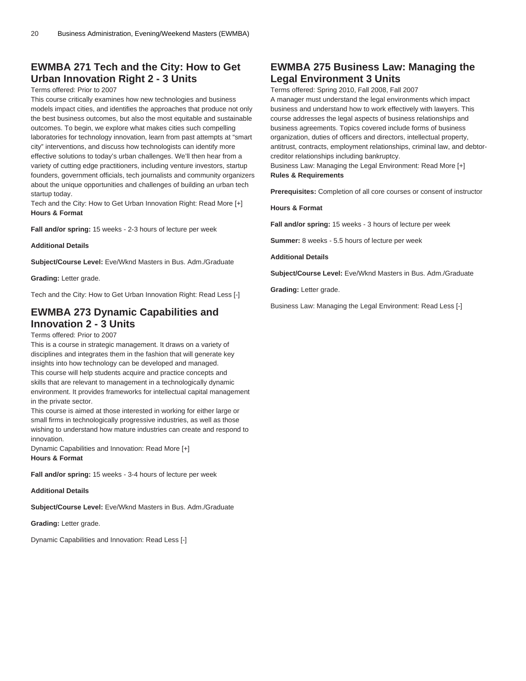### **EWMBA 271 Tech and the City: How to Get Urban Innovation Right 2 - 3 Units**

#### Terms offered: Prior to 2007

This course critically examines how new technologies and business models impact cities, and identifies the approaches that produce not only the best business outcomes, but also the most equitable and sustainable outcomes. To begin, we explore what makes cities such compelling laboratories for technology innovation, learn from past attempts at "smart city" interventions, and discuss how technologists can identify more effective solutions to today's urban challenges. We'll then hear from a variety of cutting edge practitioners, including venture investors, startup founders, government officials, tech journalists and community organizers about the unique opportunities and challenges of building an urban tech startup today.

Tech and the City: How to Get Urban Innovation Right: Read More [+] **Hours & Format**

**Fall and/or spring:** 15 weeks - 2-3 hours of lecture per week

**Additional Details**

**Subject/Course Level:** Eve/Wknd Masters in Bus. Adm./Graduate

**Grading:** Letter grade.

Tech and the City: How to Get Urban Innovation Right: Read Less [-]

### **EWMBA 273 Dynamic Capabilities and Innovation 2 - 3 Units**

#### Terms offered: Prior to 2007

This is a course in strategic management. It draws on a variety of disciplines and integrates them in the fashion that will generate key insights into how technology can be developed and managed. This course will help students acquire and practice concepts and skills that are relevant to management in a technologically dynamic environment. It provides frameworks for intellectual capital management in the private sector.

This course is aimed at those interested in working for either large or small firms in technologically progressive industries, as well as those wishing to understand how mature industries can create and respond to innovation.

Dynamic Capabilities and Innovation: Read More [+] **Hours & Format**

**Fall and/or spring:** 15 weeks - 3-4 hours of lecture per week

**Additional Details**

**Subject/Course Level:** Eve/Wknd Masters in Bus. Adm./Graduate

**Grading:** Letter grade.

Dynamic Capabilities and Innovation: Read Less [-]

### **EWMBA 275 Business Law: Managing the Legal Environment 3 Units**

Terms offered: Spring 2010, Fall 2008, Fall 2007

A manager must understand the legal environments which impact business and understand how to work effectively with lawyers. This course addresses the legal aspects of business relationships and business agreements. Topics covered include forms of business organization, duties of officers and directors, intellectual property, antitrust, contracts, employment relationships, criminal law, and debtorcreditor relationships including bankruptcy.

Business Law: Managing the Legal Environment: Read More [+] **Rules & Requirements**

**Prerequisites:** Completion of all core courses or consent of instructor

**Hours & Format**

**Fall and/or spring:** 15 weeks - 3 hours of lecture per week

**Summer:** 8 weeks - 5.5 hours of lecture per week

**Additional Details**

**Subject/Course Level:** Eve/Wknd Masters in Bus. Adm./Graduate

**Grading:** Letter grade.

Business Law: Managing the Legal Environment: Read Less [-]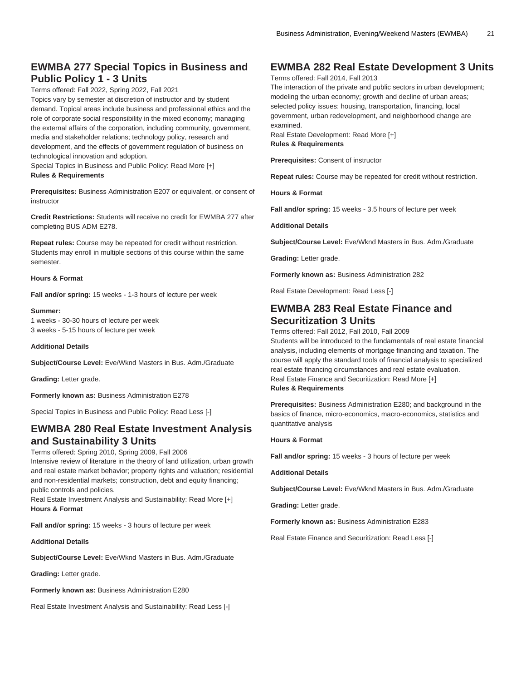### **EWMBA 277 Special Topics in Business and Public Policy 1 - 3 Units**

Terms offered: Fall 2022, Spring 2022, Fall 2021

Topics vary by semester at discretion of instructor and by student demand. Topical areas include business and professional ethics and the role of corporate social responsibility in the mixed economy; managing the external affairs of the corporation, including community, government, media and stakeholder relations; technology policy, research and development, and the effects of government regulation of business on technological innovation and adoption.

Special Topics in Business and Public Policy: Read More [+] **Rules & Requirements**

**Prerequisites:** Business Administration E207 or equivalent, or consent of instructor

**Credit Restrictions:** Students will receive no credit for [EWMBA 277](/search/?P=EWMBA%20277) after completing BUS ADM E278.

**Repeat rules:** Course may be repeated for credit without restriction. Students may enroll in multiple sections of this course within the same semester.

#### **Hours & Format**

**Fall and/or spring:** 15 weeks - 1-3 hours of lecture per week

**Summer:** 1 weeks - 30-30 hours of lecture per week 3 weeks - 5-15 hours of lecture per week

#### **Additional Details**

**Subject/Course Level:** Eve/Wknd Masters in Bus. Adm./Graduate

**Grading:** Letter grade.

**Formerly known as:** Business Administration E278

Special Topics in Business and Public Policy: Read Less [-]

### **EWMBA 280 Real Estate Investment Analysis and Sustainability 3 Units**

#### Terms offered: Spring 2010, Spring 2009, Fall 2006

Intensive review of literature in the theory of land utilization, urban growth and real estate market behavior; property rights and valuation; residential and non-residential markets; construction, debt and equity financing; public controls and policies.

Real Estate Investment Analysis and Sustainability: Read More [+] **Hours & Format**

**Fall and/or spring:** 15 weeks - 3 hours of lecture per week

**Additional Details**

**Subject/Course Level:** Eve/Wknd Masters in Bus. Adm./Graduate

**Grading:** Letter grade.

**Formerly known as:** Business Administration E280

Real Estate Investment Analysis and Sustainability: Read Less [-]

### **EWMBA 282 Real Estate Development 3 Units**

Terms offered: Fall 2014, Fall 2013

The interaction of the private and public sectors in urban development; modeling the urban economy; growth and decline of urban areas; selected policy issues: housing, transportation, financing, local government, urban redevelopment, and neighborhood change are examined.

Real Estate Development: Read More [+] **Rules & Requirements**

**Prerequisites:** Consent of instructor

**Repeat rules:** Course may be repeated for credit without restriction.

**Hours & Format**

**Fall and/or spring:** 15 weeks - 3.5 hours of lecture per week

**Additional Details**

**Subject/Course Level:** Eve/Wknd Masters in Bus. Adm./Graduate

**Grading:** Letter grade.

**Formerly known as:** Business Administration 282

Real Estate Development: Read Less [-]

### **EWMBA 283 Real Estate Finance and Securitization 3 Units**

Terms offered: Fall 2012, Fall 2010, Fall 2009

Students will be introduced to the fundamentals of real estate financial analysis, including elements of mortgage financing and taxation. The course will apply the standard tools of financial analysis to specialized real estate financing circumstances and real estate evaluation. Real Estate Finance and Securitization: Read More [+] **Rules & Requirements**

**Prerequisites:** Business Administration E280; and background in the basics of finance, micro-economics, macro-economics, statistics and quantitative analysis

#### **Hours & Format**

**Fall and/or spring:** 15 weeks - 3 hours of lecture per week

**Additional Details**

**Subject/Course Level:** Eve/Wknd Masters in Bus. Adm./Graduate

**Grading:** Letter grade.

**Formerly known as:** Business Administration E283

Real Estate Finance and Securitization: Read Less [-]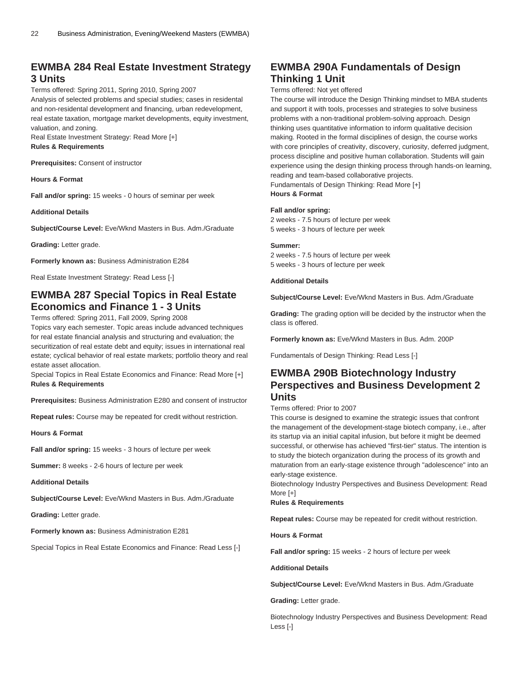### **EWMBA 284 Real Estate Investment Strategy 3 Units**

#### Terms offered: Spring 2011, Spring 2010, Spring 2007

Analysis of selected problems and special studies; cases in residental and non-residental development and financing, urban redevelopment, real estate taxation, mortgage market developments, equity investment, valuation, and zoning.

Real Estate Investment Strategy: Read More [+] **Rules & Requirements**

**Prerequisites:** Consent of instructor

**Hours & Format**

**Fall and/or spring:** 15 weeks - 0 hours of seminar per week

**Additional Details**

**Subject/Course Level:** Eve/Wknd Masters in Bus. Adm./Graduate

**Grading:** Letter grade.

**Formerly known as:** Business Administration E284

Real Estate Investment Strategy: Read Less [-]

### **EWMBA 287 Special Topics in Real Estate Economics and Finance 1 - 3 Units**

Terms offered: Spring 2011, Fall 2009, Spring 2008

Topics vary each semester. Topic areas include advanced techniques for real estate financial analysis and structuring and evaluation; the securitization of real estate debt and equity; issues in international real estate; cyclical behavior of real estate markets; portfolio theory and real estate asset allocation.

Special Topics in Real Estate Economics and Finance: Read More [+] **Rules & Requirements**

**Prerequisites:** Business Administration E280 and consent of instructor

**Repeat rules:** Course may be repeated for credit without restriction.

**Hours & Format**

**Fall and/or spring:** 15 weeks - 3 hours of lecture per week

**Summer:** 8 weeks - 2-6 hours of lecture per week

**Additional Details**

**Subject/Course Level:** Eve/Wknd Masters in Bus. Adm./Graduate

**Grading:** Letter grade.

**Formerly known as:** Business Administration E281

Special Topics in Real Estate Economics and Finance: Read Less [-]

### **EWMBA 290A Fundamentals of Design Thinking 1 Unit**

#### Terms offered: Not yet offered

The course will introduce the Design Thinking mindset to MBA students and support it with tools, processes and strategies to solve business problems with a non-traditional problem-solving approach. Design thinking uses quantitative information to inform qualitative decision making. Rooted in the formal disciplines of design, the course works with core principles of creativity, discovery, curiosity, deferred judgment, process discipline and positive human collaboration. Students will gain experience using the design thinking process through hands-on learning, reading and team-based collaborative projects. Fundamentals of Design Thinking: Read More [+]

**Hours & Format**

#### **Fall and/or spring:**

2 weeks - 7.5 hours of lecture per week 5 weeks - 3 hours of lecture per week

#### **Summer:**

2 weeks - 7.5 hours of lecture per week 5 weeks - 3 hours of lecture per week

#### **Additional Details**

**Subject/Course Level:** Eve/Wknd Masters in Bus. Adm./Graduate

**Grading:** The grading option will be decided by the instructor when the class is offered.

**Formerly known as:** Eve/Wknd Masters in Bus. Adm. 200P

Fundamentals of Design Thinking: Read Less [-]

### **EWMBA 290B Biotechnology Industry Perspectives and Business Development 2 Units**

#### Terms offered: Prior to 2007

This course is designed to examine the strategic issues that confront the management of the development-stage biotech company, i.e., after its startup via an initial capital infusion, but before it might be deemed successful, or otherwise has achieved "first-tier" status. The intention is to study the biotech organization during the process of its growth and maturation from an early-stage existence through "adolescence" into an early-stage existence.

Biotechnology Industry Perspectives and Business Development: Read More [+]

#### **Rules & Requirements**

**Repeat rules:** Course may be repeated for credit without restriction.

**Hours & Format**

**Fall and/or spring:** 15 weeks - 2 hours of lecture per week

#### **Additional Details**

**Subject/Course Level:** Eve/Wknd Masters in Bus. Adm./Graduate

**Grading:** Letter grade.

Biotechnology Industry Perspectives and Business Development: Read Less [-]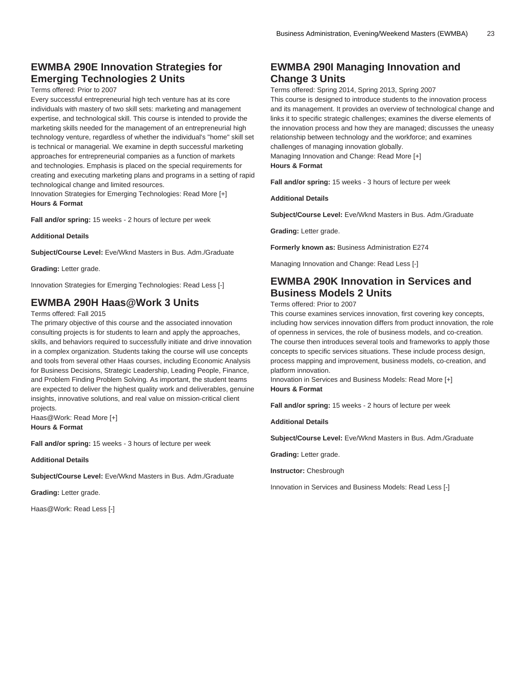### **EWMBA 290E Innovation Strategies for Emerging Technologies 2 Units**

Terms offered: Prior to 2007

Every successful entrepreneurial high tech venture has at its core individuals with mastery of two skill sets: marketing and management expertise, and technological skill. This course is intended to provide the marketing skills needed for the management of an entrepreneurial high technology venture, regardless of whether the individual's "home" skill set is technical or managerial. We examine in depth successful marketing approaches for entrepreneurial companies as a function of markets and technologies. Emphasis is placed on the special requirements for creating and executing marketing plans and programs in a setting of rapid technological change and limited resources.

Innovation Strategies for Emerging Technologies: Read More [+] **Hours & Format**

**Fall and/or spring:** 15 weeks - 2 hours of lecture per week

**Additional Details**

**Subject/Course Level:** Eve/Wknd Masters in Bus. Adm./Graduate

**Grading:** Letter grade.

Innovation Strategies for Emerging Technologies: Read Less [-]

### **EWMBA 290H Haas@Work 3 Units**

Terms offered: Fall 2015

The primary objective of this course and the associated innovation consulting projects is for students to learn and apply the approaches, skills, and behaviors required to successfully initiate and drive innovation in a complex organization. Students taking the course will use concepts and tools from several other Haas courses, including Economic Analysis for Business Decisions, Strategic Leadership, Leading People, Finance, and Problem Finding Problem Solving. As important, the student teams are expected to deliver the highest quality work and deliverables, genuine insights, innovative solutions, and real value on mission-critical client projects.

Haas@Work: Read More [+] **Hours & Format**

**Fall and/or spring:** 15 weeks - 3 hours of lecture per week

**Additional Details**

**Subject/Course Level:** Eve/Wknd Masters in Bus. Adm./Graduate

**Grading:** Letter grade.

Haas@Work: Read Less [-]

### **EWMBA 290I Managing Innovation and Change 3 Units**

Terms offered: Spring 2014, Spring 2013, Spring 2007 This course is designed to introduce students to the innovation process and its management. It provides an overview of technological change and links it to specific strategic challenges; examines the diverse elements of the innovation process and how they are managed; discusses the uneasy relationship between technology and the workforce; and examines challenges of managing innovation globally.

Managing Innovation and Change: Read More [+]

**Hours & Format**

**Fall and/or spring:** 15 weeks - 3 hours of lecture per week

**Additional Details**

**Subject/Course Level:** Eve/Wknd Masters in Bus. Adm./Graduate

**Grading:** Letter grade.

**Formerly known as:** Business Administration E274

Managing Innovation and Change: Read Less [-]

### **EWMBA 290K Innovation in Services and Business Models 2 Units**

Terms offered: Prior to 2007

This course examines services innovation, first covering key concepts, including how services innovation differs from product innovation, the role of openness in services, the role of business models, and co-creation. The course then introduces several tools and frameworks to apply those concepts to specific services situations. These include process design, process mapping and improvement, business models, co-creation, and platform innovation.

Innovation in Services and Business Models: Read More [+] **Hours & Format**

**Fall and/or spring:** 15 weeks - 2 hours of lecture per week

**Additional Details**

**Subject/Course Level:** Eve/Wknd Masters in Bus. Adm./Graduate

**Grading:** Letter grade.

**Instructor:** Chesbrough

Innovation in Services and Business Models: Read Less [-]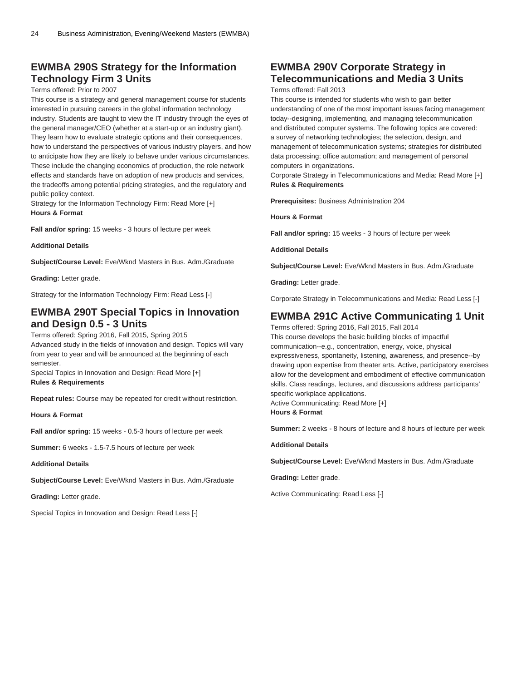### **EWMBA 290S Strategy for the Information Technology Firm 3 Units**

#### Terms offered: Prior to 2007

This course is a strategy and general management course for students interested in pursuing careers in the global information technology industry. Students are taught to view the IT industry through the eyes of the general manager/CEO (whether at a start-up or an industry giant). They learn how to evaluate strategic options and their consequences, how to understand the perspectives of various industry players, and how to anticipate how they are likely to behave under various circumstances. These include the changing economics of production, the role network effects and standards have on adoption of new products and services, the tradeoffs among potential pricing strategies, and the regulatory and public policy context.

Strategy for the Information Technology Firm: Read More [+] **Hours & Format**

**Fall and/or spring:** 15 weeks - 3 hours of lecture per week

**Additional Details**

**Subject/Course Level:** Eve/Wknd Masters in Bus. Adm./Graduate

**Grading:** Letter grade.

Strategy for the Information Technology Firm: Read Less [-]

### **EWMBA 290T Special Topics in Innovation and Design 0.5 - 3 Units**

Terms offered: Spring 2016, Fall 2015, Spring 2015 Advanced study in the fields of innovation and design. Topics will vary from year to year and will be announced at the beginning of each semester.

Special Topics in Innovation and Design: Read More [+] **Rules & Requirements**

**Repeat rules:** Course may be repeated for credit without restriction.

**Hours & Format**

**Fall and/or spring:** 15 weeks - 0.5-3 hours of lecture per week

**Summer:** 6 weeks - 1.5-7.5 hours of lecture per week

**Additional Details**

**Subject/Course Level:** Eve/Wknd Masters in Bus. Adm./Graduate

**Grading:** Letter grade.

Special Topics in Innovation and Design: Read Less [-]

### **EWMBA 290V Corporate Strategy in Telecommunications and Media 3 Units**

Terms offered: Fall 2013

This course is intended for students who wish to gain better understanding of one of the most important issues facing management today--designing, implementing, and managing telecommunication and distributed computer systems. The following topics are covered: a survey of networking technologies; the selection, design, and management of telecommunication systems; strategies for distributed data processing; office automation; and management of personal computers in organizations.

Corporate Strategy in Telecommunications and Media: Read More [+] **Rules & Requirements**

**Prerequisites:** Business Administration 204

**Hours & Format**

**Fall and/or spring:** 15 weeks - 3 hours of lecture per week

**Additional Details**

**Subject/Course Level:** Eve/Wknd Masters in Bus. Adm./Graduate

**Grading:** Letter grade.

Corporate Strategy in Telecommunications and Media: Read Less [-]

### **EWMBA 291C Active Communicating 1 Unit**

Terms offered: Spring 2016, Fall 2015, Fall 2014 This course develops the basic building blocks of impactful communication--e.g., concentration, energy, voice, physical expressiveness, spontaneity, listening, awareness, and presence--by drawing upon expertise from theater arts. Active, participatory exercises allow for the development and embodiment of effective communication skills. Class readings, lectures, and discussions address participants' specific workplace applications.

Active Communicating: Read More [+] **Hours & Format**

**Summer:** 2 weeks - 8 hours of lecture and 8 hours of lecture per week

**Additional Details**

**Subject/Course Level:** Eve/Wknd Masters in Bus. Adm./Graduate

**Grading:** Letter grade.

Active Communicating: Read Less [-]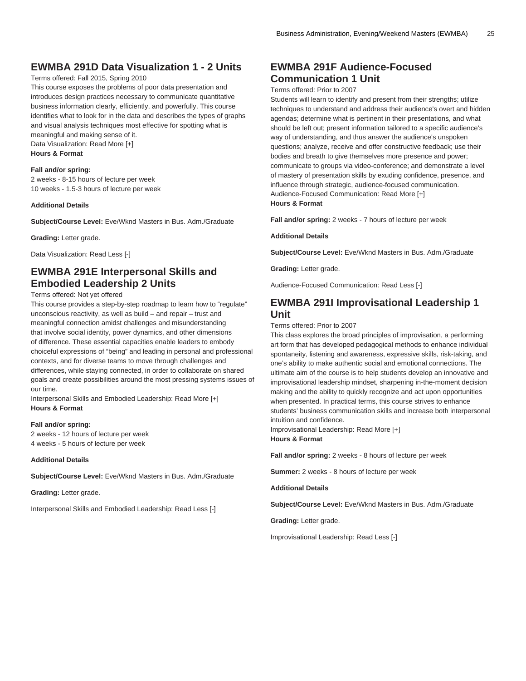### **EWMBA 291D Data Visualization 1 - 2 Units**

#### Terms offered: Fall 2015, Spring 2010

This course exposes the problems of poor data presentation and introduces design practices necessary to communicate quantitative business information clearly, efficiently, and powerfully. This course identifies what to look for in the data and describes the types of graphs and visual analysis techniques most effective for spotting what is meaningful and making sense of it.

Data Visualization: Read More [+] **Hours & Format**

#### **Fall and/or spring:**

2 weeks - 8-15 hours of lecture per week 10 weeks - 1.5-3 hours of lecture per week

#### **Additional Details**

**Subject/Course Level:** Eve/Wknd Masters in Bus. Adm./Graduate

#### **Grading:** Letter grade.

Data Visualization: Read Less [-]

### **EWMBA 291E Interpersonal Skills and Embodied Leadership 2 Units**

#### Terms offered: Not yet offered

This course provides a step-by-step roadmap to learn how to "regulate" unconscious reactivity, as well as build – and repair – trust and meaningful connection amidst challenges and misunderstanding that involve social identity, power dynamics, and other dimensions of difference. These essential capacities enable leaders to embody choiceful expressions of "being" and leading in personal and professional contexts, and for diverse teams to move through challenges and differences, while staying connected, in order to collaborate on shared goals and create possibilities around the most pressing systems issues of our time.

Interpersonal Skills and Embodied Leadership: Read More [+] **Hours & Format**

#### **Fall and/or spring:**

2 weeks - 12 hours of lecture per week 4 weeks - 5 hours of lecture per week

#### **Additional Details**

**Subject/Course Level:** Eve/Wknd Masters in Bus. Adm./Graduate

#### **Grading:** Letter grade.

Interpersonal Skills and Embodied Leadership: Read Less [-]

### **EWMBA 291F Audience-Focused Communication 1 Unit**

#### Terms offered: Prior to 2007

Students will learn to identify and present from their strengths; utilize techniques to understand and address their audience's overt and hidden agendas; determine what is pertinent in their presentations, and what should be left out; present information tailored to a specific audience's way of understanding, and thus answer the audience's unspoken questions; analyze, receive and offer constructive feedback; use their bodies and breath to give themselves more presence and power; communicate to groups via video-conference; and demonstrate a level of mastery of presentation skills by exuding confidence, presence, and influence through strategic, audience-focused communication. Audience-Focused Communication: Read More [+] **Hours & Format**

**Fall and/or spring:** 2 weeks - 7 hours of lecture per week

#### **Additional Details**

**Subject/Course Level:** Eve/Wknd Masters in Bus. Adm./Graduate

**Grading:** Letter grade.

Audience-Focused Communication: Read Less [-]

#### **EWMBA 291I Improvisational Leadership 1 Unit**

Terms offered: Prior to 2007

This class explores the broad principles of improvisation, a performing art form that has developed pedagogical methods to enhance individual spontaneity, listening and awareness, expressive skills, risk-taking, and one's ability to make authentic social and emotional connections. The ultimate aim of the course is to help students develop an innovative and improvisational leadership mindset, sharpening in-the-moment decision making and the ability to quickly recognize and act upon opportunities when presented. In practical terms, this course strives to enhance students' business communication skills and increase both interpersonal intuition and confidence.

Improvisational Leadership: Read More [+] **Hours & Format**

**Fall and/or spring:** 2 weeks - 8 hours of lecture per week

**Summer:** 2 weeks - 8 hours of lecture per week

**Additional Details**

**Subject/Course Level:** Eve/Wknd Masters in Bus. Adm./Graduate

**Grading:** Letter grade.

Improvisational Leadership: Read Less [-]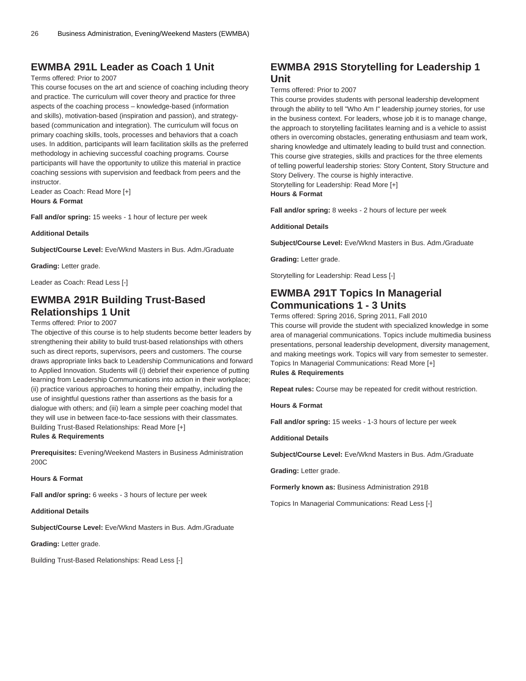### **EWMBA 291L Leader as Coach 1 Unit**

#### Terms offered: Prior to 2007

This course focuses on the art and science of coaching including theory and practice. The curriculum will cover theory and practice for three aspects of the coaching process – knowledge-based (information and skills), motivation-based (inspiration and passion), and strategybased (communication and integration). The curriculum will focus on primary coaching skills, tools, processes and behaviors that a coach uses. In addition, participants will learn facilitation skills as the preferred methodology in achieving successful coaching programs. Course participants will have the opportunity to utilize this material in practice coaching sessions with supervision and feedback from peers and the instructor.

Leader as Coach: Read More [+] **Hours & Format**

**Fall and/or spring:** 15 weeks - 1 hour of lecture per week

**Additional Details**

**Subject/Course Level:** Eve/Wknd Masters in Bus. Adm./Graduate

**Grading:** Letter grade.

Leader as Coach: Read Less [-]

### **EWMBA 291R Building Trust-Based Relationships 1 Unit**

#### Terms offered: Prior to 2007

The objective of this course is to help students become better leaders by strengthening their ability to build trust-based relationships with others such as direct reports, supervisors, peers and customers. The course draws appropriate links back to Leadership Communications and forward to Applied Innovation. Students will (i) debrief their experience of putting learning from Leadership Communications into action in their workplace; (ii) practice various approaches to honing their empathy, including the use of insightful questions rather than assertions as the basis for a dialogue with others; and (iii) learn a simple peer coaching model that they will use in between face-to-face sessions with their classmates. Building Trust-Based Relationships: Read More [+] **Rules & Requirements**

**Prerequisites:** Evening/Weekend Masters in Business Administration 200C

**Hours & Format**

**Fall and/or spring:** 6 weeks - 3 hours of lecture per week

**Additional Details**

**Subject/Course Level:** Eve/Wknd Masters in Bus. Adm./Graduate

**Grading:** Letter grade.

Building Trust-Based Relationships: Read Less [-]

### **EWMBA 291S Storytelling for Leadership 1 Unit**

#### Terms offered: Prior to 2007

This course provides students with personal leadership development through the ability to tell "Who Am I" leadership journey stories, for use in the business context. For leaders, whose job it is to manage change, the approach to storytelling facilitates learning and is a vehicle to assist others in overcoming obstacles, generating enthusiasm and team work, sharing knowledge and ultimately leading to build trust and connection. This course give strategies, skills and practices for the three elements of telling powerful leadership stories: Story Content, Story Structure and Story Delivery. The course is highly interactive.

Storytelling for Leadership: Read More [+]

#### **Hours & Format**

**Fall and/or spring:** 8 weeks - 2 hours of lecture per week

#### **Additional Details**

**Subject/Course Level:** Eve/Wknd Masters in Bus. Adm./Graduate

**Grading:** Letter grade.

Storytelling for Leadership: Read Less [-]

### **EWMBA 291T Topics In Managerial Communications 1 - 3 Units**

Terms offered: Spring 2016, Spring 2011, Fall 2010

This course will provide the student with specialized knowledge in some area of managerial communications. Topics include multimedia business presentations, personal leadership development, diversity management, and making meetings work. Topics will vary from semester to semester. Topics In Managerial Communications: Read More [+] **Rules & Requirements**

**Repeat rules:** Course may be repeated for credit without restriction.

**Hours & Format**

**Fall and/or spring:** 15 weeks - 1-3 hours of lecture per week

**Additional Details**

**Subject/Course Level:** Eve/Wknd Masters in Bus. Adm./Graduate

**Grading:** Letter grade.

**Formerly known as:** Business Administration 291B

Topics In Managerial Communications: Read Less [-]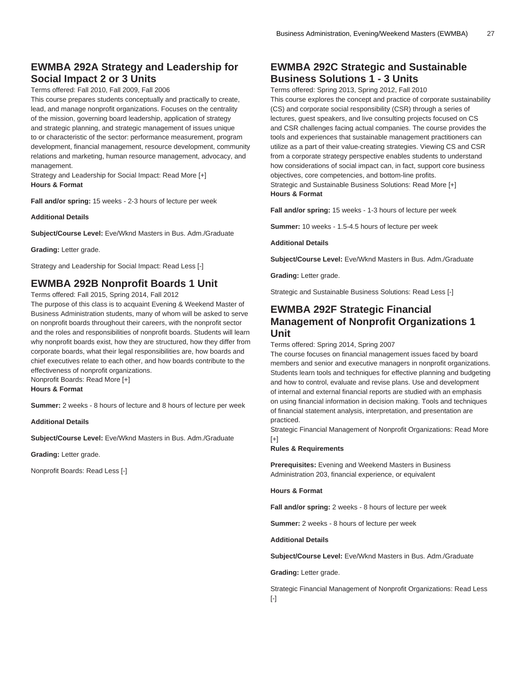### **EWMBA 292A Strategy and Leadership for Social Impact 2 or 3 Units**

Terms offered: Fall 2010, Fall 2009, Fall 2006

This course prepares students conceptually and practically to create, lead, and manage nonprofit organizations. Focuses on the centrality of the mission, governing board leadership, application of strategy and strategic planning, and strategic management of issues unique to or characteristic of the sector: performance measurement, program development, financial management, resource development, community relations and marketing, human resource management, advocacy, and management.

Strategy and Leadership for Social Impact: Read More [+] **Hours & Format**

**Fall and/or spring:** 15 weeks - 2-3 hours of lecture per week

**Additional Details**

**Subject/Course Level:** Eve/Wknd Masters in Bus. Adm./Graduate

**Grading:** Letter grade.

Strategy and Leadership for Social Impact: Read Less [-]

### **EWMBA 292B Nonprofit Boards 1 Unit**

Terms offered: Fall 2015, Spring 2014, Fall 2012 The purpose of this class is to acquaint Evening & Weekend Master of Business Administration students, many of whom will be asked to serve on nonprofit boards throughout their careers, with the nonprofit sector and the roles and responsibilities of nonprofit boards. Students will learn why nonprofit boards exist, how they are structured, how they differ from corporate boards, what their legal responsibilities are, how boards and chief executives relate to each other, and how boards contribute to the effectiveness of nonprofit organizations. Nonprofit Boards: Read More [+]

**Hours & Format**

**Summer:** 2 weeks - 8 hours of lecture and 8 hours of lecture per week

**Additional Details**

**Subject/Course Level:** Eve/Wknd Masters in Bus. Adm./Graduate

**Grading:** Letter grade.

Nonprofit Boards: Read Less [-]

#### **EWMBA 292C Strategic and Sustainable Business Solutions 1 - 3 Units**

Terms offered: Spring 2013, Spring 2012, Fall 2010

This course explores the concept and practice of corporate sustainability (CS) and corporate social responsibility (CSR) through a series of lectures, guest speakers, and live consulting projects focused on CS and CSR challenges facing actual companies. The course provides the tools and experiences that sustainable management practitioners can utilize as a part of their value-creating strategies. Viewing CS and CSR from a corporate strategy perspective enables students to understand how considerations of social impact can, in fact, support core business objectives, core competencies, and bottom-line profits. Strategic and Sustainable Business Solutions: Read More [+]

#### **Hours & Format**

**Fall and/or spring:** 15 weeks - 1-3 hours of lecture per week

**Summer:** 10 weeks - 1.5-4.5 hours of lecture per week

**Additional Details**

**Subject/Course Level:** Eve/Wknd Masters in Bus. Adm./Graduate

**Grading:** Letter grade.

Strategic and Sustainable Business Solutions: Read Less [-]

### **EWMBA 292F Strategic Financial Management of Nonprofit Organizations 1 Unit**

Terms offered: Spring 2014, Spring 2007

The course focuses on financial management issues faced by board members and senior and executive managers in nonprofit organizations. Students learn tools and techniques for effective planning and budgeting and how to control, evaluate and revise plans. Use and development of internal and external financial reports are studied with an emphasis on using financial information in decision making. Tools and techniques of financial statement analysis, interpretation, and presentation are practiced.

Strategic Financial Management of Nonprofit Organizations: Read More [+]

**Rules & Requirements**

**Prerequisites:** Evening and Weekend Masters in Business Administration 203, financial experience, or equivalent

**Hours & Format**

**Fall and/or spring:** 2 weeks - 8 hours of lecture per week

**Summer:** 2 weeks - 8 hours of lecture per week

**Additional Details**

**Subject/Course Level:** Eve/Wknd Masters in Bus. Adm./Graduate

**Grading:** Letter grade.

Strategic Financial Management of Nonprofit Organizations: Read Less  $[-]$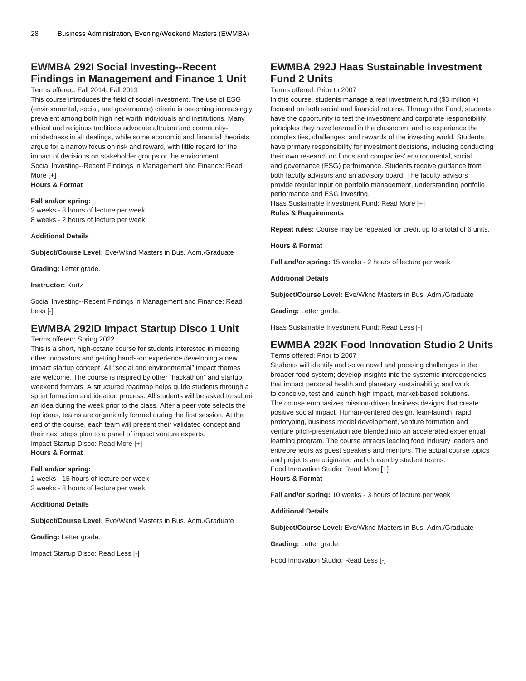### **EWMBA 292I Social Investing--Recent Findings in Management and Finance 1 Unit**

#### Terms offered: Fall 2014, Fall 2013

This course introduces the field of social investment. The use of ESG (environmental, social, and governance) criteria is becoming increasingly prevalent among both high net worth individuals and institutions. Many ethical and religious traditions advocate altruism and communitymindedness in all dealings, while some economic and financial theorists argue for a narrow focus on risk and reward, with little regard for the impact of decisions on stakeholder groups or the environment. Social Investing--Recent Findings in Management and Finance: Read More [+] **Hours & Format**

#### **Fall and/or spring:**

2 weeks - 8 hours of lecture per week 8 weeks - 2 hours of lecture per week

#### **Additional Details**

**Subject/Course Level:** Eve/Wknd Masters in Bus. Adm./Graduate

**Grading:** Letter grade.

#### **Instructor:** Kurtz

Social Investing--Recent Findings in Management and Finance: Read Less [-]

### **EWMBA 292ID Impact Startup Disco 1 Unit**

#### Terms offered: Spring 2022

This is a short, high-octane course for students interested in meeting other innovators and getting hands-on experience developing a new impact startup concept. All "social and environmental" impact themes are welcome. The course is inspired by other "hackathon" and startup weekend formats. A structured roadmap helps guide students through a sprint formation and ideation process. All students will be asked to submit an idea during the week prior to the class. After a peer vote selects the top ideas, teams are organically formed during the first session. At the end of the course, each team will present their validated concept and their next steps plan to a panel of impact venture experts. Impact Startup Disco: Read More [+] **Hours & Format**

#### **Fall and/or spring:**

1 weeks - 15 hours of lecture per week 2 weeks - 8 hours of lecture per week

#### **Additional Details**

**Subject/Course Level:** Eve/Wknd Masters in Bus. Adm./Graduate

**Grading:** Letter grade.

Impact Startup Disco: Read Less [-]

### **EWMBA 292J Haas Sustainable Investment Fund 2 Units**

#### Terms offered: Prior to 2007

In this course, students manage a real investment fund (\$3 million +) focused on both social and financial returns. Through the Fund, students have the opportunity to test the investment and corporate responsibility principles they have learned in the classroom, and to experience the complexities, challenges, and rewards of the investing world. Students have primary responsibility for investment decisions, including conducting their own research on funds and companies' environmental, social and governance (ESG) performance. Students receive guidance from both faculty advisors and an advisory board. The faculty advisors provide regular input on portfolio management, understanding portfolio performance and ESG investing.

Haas Sustainable Investment Fund: Read More [+] **Rules & Requirements**

**Repeat rules:** Course may be repeated for credit up to a total of 6 units.

**Hours & Format**

**Fall and/or spring:** 15 weeks - 2 hours of lecture per week

**Additional Details**

**Subject/Course Level:** Eve/Wknd Masters in Bus. Adm./Graduate

**Grading:** Letter grade.

Haas Sustainable Investment Fund: Read Less [-]

### **EWMBA 292K Food Innovation Studio 2 Units**

Terms offered: Prior to 2007

Students will identify and solve novel and pressing challenges in the broader food-system; develop insights into the systemic interdepencies that impact personal health and planetary sustainability; and work to conceive, test and launch high impact, market-based solutions. The course emphasizes mission-driven business designs that create positive social impact. Human-centered design, lean-launch, rapid prototyping, business model development, venture formation and venture pitch-presentation are blended into an accelerated experiential learning program. The course attracts leading food industry leaders and entrepreneurs as guest speakers and mentors. The actual course topics and projects are originated and chosen by student teams. Food Innovation Studio: Read More [+]

#### **Hours & Format**

**Fall and/or spring:** 10 weeks - 3 hours of lecture per week

**Additional Details**

**Subject/Course Level:** Eve/Wknd Masters in Bus. Adm./Graduate

**Grading:** Letter grade.

Food Innovation Studio: Read Less [-]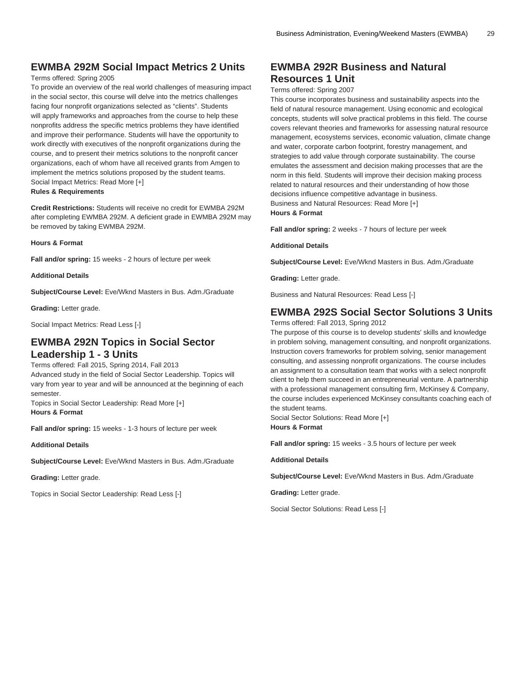### **EWMBA 292M Social Impact Metrics 2 Units**

#### Terms offered: Spring 2005

To provide an overview of the real world challenges of measuring impact in the social sector, this course will delve into the metrics challenges facing four nonprofit organizations selected as "clients". Students will apply frameworks and approaches from the course to help these nonprofits address the specific metrics problems they have identified and improve their performance. Students will have the opportunity to work directly with executives of the nonprofit organizations during the course, and to present their metrics solutions to the nonprofit cancer organizations, each of whom have all received grants from Amgen to implement the metrics solutions proposed by the student teams. Social Impact Metrics: Read More [+]

#### **Rules & Requirements**

**Credit Restrictions:** Students will receive no credit for [EWMBA 292M](/search/?P=EWMBA%20292M) after completing [EWMBA 292M.](/search/?P=EWMBA%20292M) A deficient grade in [EWMBA 292M](/search/?P=EWMBA%20292M) may be removed by taking [EWMBA 292M](/search/?P=EWMBA%20292M).

#### **Hours & Format**

**Fall and/or spring:** 15 weeks - 2 hours of lecture per week

**Additional Details**

**Subject/Course Level:** Eve/Wknd Masters in Bus. Adm./Graduate

**Grading:** Letter grade.

Social Impact Metrics: Read Less [-]

### **EWMBA 292N Topics in Social Sector Leadership 1 - 3 Units**

Terms offered: Fall 2015, Spring 2014, Fall 2013 Advanced study in the field of Social Sector Leadership. Topics will vary from year to year and will be announced at the beginning of each semester.

Topics in Social Sector Leadership: Read More [+] **Hours & Format**

**Fall and/or spring:** 15 weeks - 1-3 hours of lecture per week

**Additional Details**

**Subject/Course Level:** Eve/Wknd Masters in Bus. Adm./Graduate

**Grading:** Letter grade.

Topics in Social Sector Leadership: Read Less [-]

### **EWMBA 292R Business and Natural Resources 1 Unit**

#### Terms offered: Spring 2007

This course incorporates business and sustainability aspects into the field of natural resource management. Using economic and ecological concepts, students will solve practical problems in this field. The course covers relevant theories and frameworks for assessing natural resource management, ecosystems services, economic valuation, climate change and water, corporate carbon footprint, forestry management, and strategies to add value through corporate sustainability. The course emulates the assessment and decision making processes that are the norm in this field. Students will improve their decision making process related to natural resources and their understanding of how those decisions influence competitive advantage in business. Business and Natural Resources: Read More [+] **Hours & Format**

**Fall and/or spring:** 2 weeks - 7 hours of lecture per week

**Additional Details**

**Subject/Course Level:** Eve/Wknd Masters in Bus. Adm./Graduate

**Grading:** Letter grade.

Business and Natural Resources: Read Less [-]

#### **EWMBA 292S Social Sector Solutions 3 Units**

Terms offered: Fall 2013, Spring 2012

The purpose of this course is to develop students' skills and knowledge in problem solving, management consulting, and nonprofit organizations. Instruction covers frameworks for problem solving, senior management consulting, and assessing nonprofit organizations. The course includes an assignment to a consultation team that works with a select nonprofit client to help them succeed in an entrepreneurial venture. A partnership with a professional management consulting firm, McKinsey & Company, the course includes experienced McKinsey consultants coaching each of the student teams.

Social Sector Solutions: Read More [+] **Hours & Format**

**Fall and/or spring:** 15 weeks - 3.5 hours of lecture per week

**Additional Details**

**Subject/Course Level:** Eve/Wknd Masters in Bus. Adm./Graduate

**Grading:** Letter grade.

Social Sector Solutions: Read Less [-]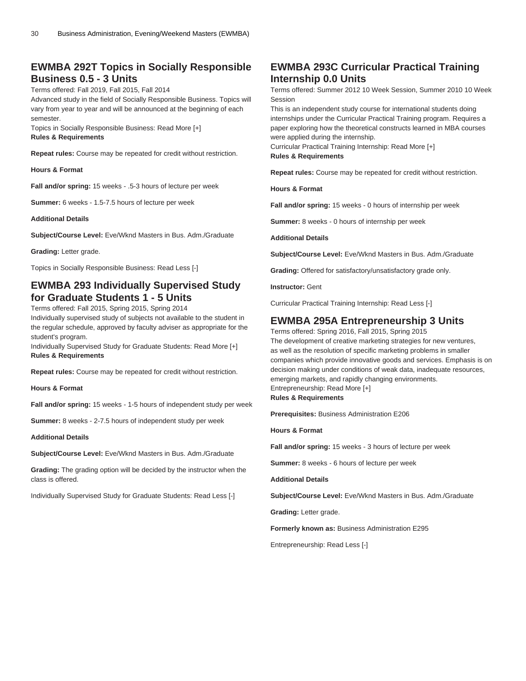### **EWMBA 292T Topics in Socially Responsible Business 0.5 - 3 Units**

Terms offered: Fall 2019, Fall 2015, Fall 2014

Advanced study in the field of Socially Responsible Business. Topics will vary from year to year and will be announced at the beginning of each semester.

Topics in Socially Responsible Business: Read More [+]

#### **Rules & Requirements**

**Repeat rules:** Course may be repeated for credit without restriction.

**Hours & Format**

**Fall and/or spring:** 15 weeks - .5-3 hours of lecture per week

**Summer:** 6 weeks - 1.5-7.5 hours of lecture per week

**Additional Details**

**Subject/Course Level:** Eve/Wknd Masters in Bus. Adm./Graduate

**Grading:** Letter grade.

Topics in Socially Responsible Business: Read Less [-]

### **EWMBA 293 Individually Supervised Study for Graduate Students 1 - 5 Units**

Terms offered: Fall 2015, Spring 2015, Spring 2014

Individually supervised study of subjects not available to the student in the regular schedule, approved by faculty adviser as appropriate for the student's program.

Individually Supervised Study for Graduate Students: Read More [+] **Rules & Requirements**

**Repeat rules:** Course may be repeated for credit without restriction.

**Hours & Format**

**Fall and/or spring:** 15 weeks - 1-5 hours of independent study per week

**Summer:** 8 weeks - 2-7.5 hours of independent study per week

**Additional Details**

**Subject/Course Level:** Eve/Wknd Masters in Bus. Adm./Graduate

**Grading:** The grading option will be decided by the instructor when the class is offered.

Individually Supervised Study for Graduate Students: Read Less [-]

### **EWMBA 293C Curricular Practical Training Internship 0.0 Units**

Terms offered: Summer 2012 10 Week Session, Summer 2010 10 Week Session

This is an independent study course for international students doing internships under the Curricular Practical Training program. Requires a paper exploring how the theoretical constructs learned in MBA courses were applied during the internship.

Curricular Practical Training Internship: Read More [+] **Rules & Requirements**

**Repeat rules:** Course may be repeated for credit without restriction.

**Hours & Format**

**Fall and/or spring:** 15 weeks - 0 hours of internship per week

**Summer:** 8 weeks - 0 hours of internship per week

**Additional Details**

**Subject/Course Level:** Eve/Wknd Masters in Bus. Adm./Graduate

**Grading:** Offered for satisfactory/unsatisfactory grade only.

**Instructor:** Gent

Curricular Practical Training Internship: Read Less [-]

### **EWMBA 295A Entrepreneurship 3 Units**

Terms offered: Spring 2016, Fall 2015, Spring 2015 The development of creative marketing strategies for new ventures, as well as the resolution of specific marketing problems in smaller companies which provide innovative goods and services. Emphasis is on decision making under conditions of weak data, inadequate resources, emerging markets, and rapidly changing environments. Entrepreneurship: Read More [+] **Rules & Requirements**

**Prerequisites:** Business Administration E206

**Hours & Format**

**Fall and/or spring:** 15 weeks - 3 hours of lecture per week

**Summer:** 8 weeks - 6 hours of lecture per week

**Additional Details**

**Subject/Course Level:** Eve/Wknd Masters in Bus. Adm./Graduate

**Grading:** Letter grade.

**Formerly known as:** Business Administration E295

Entrepreneurship: Read Less [-]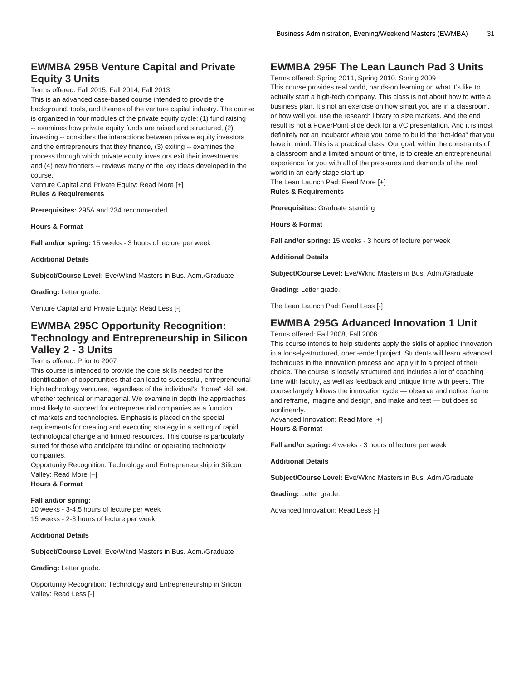### **EWMBA 295B Venture Capital and Private Equity 3 Units**

Terms offered: Fall 2015, Fall 2014, Fall 2013

This is an advanced case-based course intended to provide the background, tools, and themes of the venture capital industry. The course is organized in four modules of the private equity cycle: (1) fund raising -- examines how private equity funds are raised and structured, (2) investing -- considers the interactions between private equity investors and the entrepreneurs that they finance, (3) exiting -- examines the process through which private equity investors exit their investments; and (4) new frontiers -- reviews many of the key ideas developed in the course.

Venture Capital and Private Equity: Read More [+] **Rules & Requirements**

**Prerequisites:** 295A and 234 recommended

**Hours & Format**

**Fall and/or spring:** 15 weeks - 3 hours of lecture per week

**Additional Details**

**Subject/Course Level:** Eve/Wknd Masters in Bus. Adm./Graduate

**Grading:** Letter grade.

Venture Capital and Private Equity: Read Less [-]

### **EWMBA 295C Opportunity Recognition: Technology and Entrepreneurship in Silicon Valley 2 - 3 Units**

#### Terms offered: Prior to 2007

This course is intended to provide the core skills needed for the identification of opportunities that can lead to successful, entrepreneurial high technology ventures, regardless of the individual's "home" skill set, whether technical or managerial. We examine in depth the approaches most likely to succeed for entrepreneurial companies as a function of markets and technologies. Emphasis is placed on the special requirements for creating and executing strategy in a setting of rapid technological change and limited resources. This course is particularly suited for those who anticipate founding or operating technology companies.

Opportunity Recognition: Technology and Entrepreneurship in Silicon Valley: Read More [+] **Hours & Format**

#### **Fall and/or spring:**

10 weeks - 3-4.5 hours of lecture per week 15 weeks - 2-3 hours of lecture per week

#### **Additional Details**

**Subject/Course Level:** Eve/Wknd Masters in Bus. Adm./Graduate

**Grading:** Letter grade.

Opportunity Recognition: Technology and Entrepreneurship in Silicon Valley: Read Less [-]

### **EWMBA 295F The Lean Launch Pad 3 Units**

Terms offered: Spring 2011, Spring 2010, Spring 2009 This course provides real world, hands-on learning on what it's like to actually start a high-tech company. This class is not about how to write a business plan. It's not an exercise on how smart you are in a classroom, or how well you use the research library to size markets. And the end result is not a PowerPoint slide deck for a VC presentation. And it is most definitely not an incubator where you come to build the "hot-idea" that you have in mind. This is a practical class: Our goal, within the constraints of a classroom and a limited amount of time, is to create an entrepreneurial experience for you with all of the pressures and demands of the real world in an early stage start up.

The Lean Launch Pad: Read More [+] **Rules & Requirements**

**Prerequisites:** Graduate standing

**Hours & Format**

**Fall and/or spring:** 15 weeks - 3 hours of lecture per week

**Additional Details**

**Subject/Course Level:** Eve/Wknd Masters in Bus. Adm./Graduate

**Grading:** Letter grade.

The Lean Launch Pad: Read Less [-]

### **EWMBA 295G Advanced Innovation 1 Unit**

Terms offered: Fall 2008, Fall 2006

This course intends to help students apply the skills of applied innovation in a loosely-structured, open-ended project. Students will learn advanced techniques in the innovation process and apply it to a project of their choice. The course is loosely structured and includes a lot of coaching time with faculty, as well as feedback and critique time with peers. The course largely follows the innovation cycle — observe and notice, frame and reframe, imagine and design, and make and test — but does so nonlinearly.

Advanced Innovation: Read More [+] **Hours & Format**

**Fall and/or spring:** 4 weeks - 3 hours of lecture per week

#### **Additional Details**

**Subject/Course Level:** Eve/Wknd Masters in Bus. Adm./Graduate

**Grading:** Letter grade.

Advanced Innovation: Read Less [-]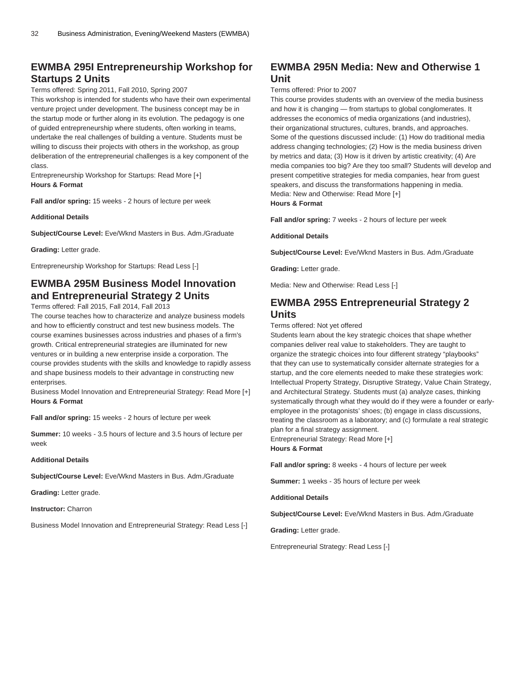### **EWMBA 295I Entrepreneurship Workshop for Startups 2 Units**

#### Terms offered: Spring 2011, Fall 2010, Spring 2007

This workshop is intended for students who have their own experimental venture project under development. The business concept may be in the startup mode or further along in its evolution. The pedagogy is one of guided entrepreneurship where students, often working in teams, undertake the real challenges of building a venture. Students must be willing to discuss their projects with others in the workshop, as group deliberation of the entrepreneurial challenges is a key component of the class.

Entrepreneurship Workshop for Startups: Read More [+] **Hours & Format**

**Fall and/or spring:** 15 weeks - 2 hours of lecture per week

**Additional Details**

**Subject/Course Level:** Eve/Wknd Masters in Bus. Adm./Graduate

**Grading:** Letter grade.

Entrepreneurship Workshop for Startups: Read Less [-]

### **EWMBA 295M Business Model Innovation and Entrepreneurial Strategy 2 Units**

Terms offered: Fall 2015, Fall 2014, Fall 2013

The course teaches how to characterize and analyze business models and how to efficiently construct and test new business models. The course examines businesses across industries and phases of a firm's growth. Critical entrepreneurial strategies are illuminated for new ventures or in building a new enterprise inside a corporation. The course provides students with the skills and knowledge to rapidly assess and shape business models to their advantage in constructing new enterprises.

Business Model Innovation and Entrepreneurial Strategy: Read More [+] **Hours & Format**

**Fall and/or spring:** 15 weeks - 2 hours of lecture per week

**Summer:** 10 weeks - 3.5 hours of lecture and 3.5 hours of lecture per week

#### **Additional Details**

**Subject/Course Level:** Eve/Wknd Masters in Bus. Adm./Graduate

**Grading:** Letter grade.

**Instructor:** Charron

Business Model Innovation and Entrepreneurial Strategy: Read Less [-]

### **EWMBA 295N Media: New and Otherwise 1 Unit**

Terms offered: Prior to 2007

This course provides students with an overview of the media business and how it is changing — from startups to global conglomerates. It addresses the economics of media organizations (and industries), their organizational structures, cultures, brands, and approaches. Some of the questions discussed include: (1) How do traditional media address changing technologies; (2) How is the media business driven by metrics and data; (3) How is it driven by artistic creativity; (4) Are media companies too big? Are they too small? Students will develop and present competitive strategies for media companies, hear from guest speakers, and discuss the transformations happening in media. Media: New and Otherwise: Read More [+] **Hours & Format**

**Fall and/or spring:** 7 weeks - 2 hours of lecture per week

**Additional Details**

**Subject/Course Level:** Eve/Wknd Masters in Bus. Adm./Graduate

**Grading:** Letter grade.

Media: New and Otherwise: Read Less [-]

### **EWMBA 295S Entrepreneurial Strategy 2 Units**

Terms offered: Not yet offered

Students learn about the key strategic choices that shape whether companies deliver real value to stakeholders. They are taught to organize the strategic choices into four different strategy "playbooks" that they can use to systematically consider alternate strategies for a startup, and the core elements needed to make these strategies work: Intellectual Property Strategy, Disruptive Strategy, Value Chain Strategy, and Architectural Strategy. Students must (a) analyze cases, thinking systematically through what they would do if they were a founder or earlyemployee in the protagonists' shoes; (b) engage in class discussions, treating the classroom as a laboratory; and (c) formulate a real strategic plan for a final strategy assignment.

Entrepreneurial Strategy: Read More [+] **Hours & Format**

**Fall and/or spring:** 8 weeks - 4 hours of lecture per week

**Summer:** 1 weeks - 35 hours of lecture per week

**Additional Details**

**Subject/Course Level:** Eve/Wknd Masters in Bus. Adm./Graduate

**Grading:** Letter grade.

Entrepreneurial Strategy: Read Less [-]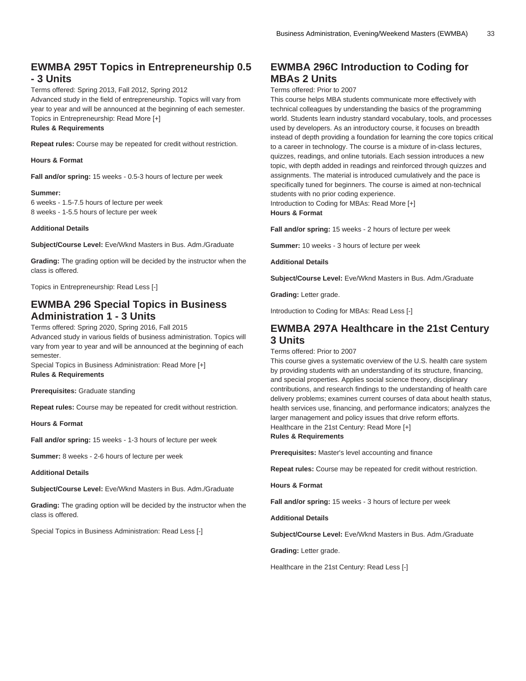#### **EWMBA 295T Topics in Entrepreneurship 0.5 - 3 Units**

#### Terms offered: Spring 2013, Fall 2012, Spring 2012 Advanced study in the field of entrepreneurship. Topics will vary from year to year and will be announced at the beginning of each semester. Topics in Entrepreneurship: Read More [+]

#### **Rules & Requirements**

**Repeat rules:** Course may be repeated for credit without restriction.

#### **Hours & Format**

**Fall and/or spring:** 15 weeks - 0.5-3 hours of lecture per week

#### **Summer:**

6 weeks - 1.5-7.5 hours of lecture per week 8 weeks - 1-5.5 hours of lecture per week

#### **Additional Details**

**Subject/Course Level:** Eve/Wknd Masters in Bus. Adm./Graduate

**Grading:** The grading option will be decided by the instructor when the class is offered.

Topics in Entrepreneurship: Read Less [-]

### **EWMBA 296 Special Topics in Business Administration 1 - 3 Units**

Terms offered: Spring 2020, Spring 2016, Fall 2015

Advanced study in various fields of business administration. Topics will vary from year to year and will be announced at the beginning of each semester.

Special Topics in Business Administration: Read More [+] **Rules & Requirements**

#### **Prerequisites:** Graduate standing

**Repeat rules:** Course may be repeated for credit without restriction.

**Hours & Format**

**Fall and/or spring:** 15 weeks - 1-3 hours of lecture per week

**Summer:** 8 weeks - 2-6 hours of lecture per week

**Additional Details**

**Subject/Course Level:** Eve/Wknd Masters in Bus. Adm./Graduate

**Grading:** The grading option will be decided by the instructor when the class is offered.

Special Topics in Business Administration: Read Less [-]

### **EWMBA 296C Introduction to Coding for MBAs 2 Units**

#### Terms offered: Prior to 2007

This course helps MBA students communicate more effectively with technical colleagues by understanding the basics of the programming world. Students learn industry standard vocabulary, tools, and processes used by developers. As an introductory course, it focuses on breadth instead of depth providing a foundation for learning the core topics critical to a career in technology. The course is a mixture of in-class lectures, quizzes, readings, and online tutorials. Each session introduces a new topic, with depth added in readings and reinforced through quizzes and assignments. The material is introduced cumulatively and the pace is specifically tuned for beginners. The course is aimed at non-technical students with no prior coding experience.

Introduction to Coding for MBAs: Read More [+] **Hours & Format**

**Fall and/or spring:** 15 weeks - 2 hours of lecture per week

**Summer:** 10 weeks - 3 hours of lecture per week

**Additional Details**

**Subject/Course Level:** Eve/Wknd Masters in Bus. Adm./Graduate

**Grading:** Letter grade.

Introduction to Coding for MBAs: Read Less [-]

#### **EWMBA 297A Healthcare in the 21st Century 3 Units**

#### Terms offered: Prior to 2007

This course gives a systematic overview of the U.S. health care system by providing students with an understanding of its structure, financing, and special properties. Applies social science theory, disciplinary contributions, and research findings to the understanding of health care delivery problems; examines current courses of data about health status, health services use, financing, and performance indicators; analyzes the larger management and policy issues that drive reform efforts. Healthcare in the 21st Century: Read More [+]

#### **Rules & Requirements**

**Prerequisites:** Master's level accounting and finance

**Repeat rules:** Course may be repeated for credit without restriction.

**Hours & Format**

**Fall and/or spring:** 15 weeks - 3 hours of lecture per week

**Additional Details**

**Subject/Course Level:** Eve/Wknd Masters in Bus. Adm./Graduate

**Grading:** Letter grade.

Healthcare in the 21st Century: Read Less [-]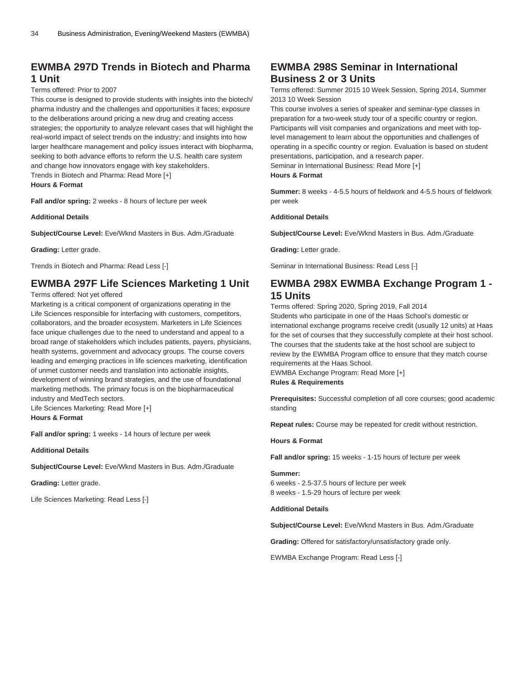### **EWMBA 297D Trends in Biotech and Pharma 1 Unit**

#### Terms offered: Prior to 2007

This course is designed to provide students with insights into the biotech/ pharma industry and the challenges and opportunities it faces; exposure to the deliberations around pricing a new drug and creating access strategies; the opportunity to analyze relevant cases that will highlight the real-world impact of select trends on the industry; and insights into how larger healthcare management and policy issues interact with biopharma, seeking to both advance efforts to reform the U.S. health care system and change how innovators engage with key stakeholders. Trends in Biotech and Pharma: Read More [+]

**Hours & Format**

**Fall and/or spring:** 2 weeks - 8 hours of lecture per week

**Additional Details**

**Subject/Course Level:** Eve/Wknd Masters in Bus. Adm./Graduate

**Grading:** Letter grade.

Trends in Biotech and Pharma: Read Less [-]

## **EWMBA 297F Life Sciences Marketing 1 Unit**

Terms offered: Not yet offered

Marketing is a critical component of organizations operating in the Life Sciences responsible for interfacing with customers, competitors, collaborators, and the broader ecosystem. Marketers in Life Sciences face unique challenges due to the need to understand and appeal to a broad range of stakeholders which includes patients, payers, physicians, health systems, government and advocacy groups. The course covers leading and emerging practices in life sciences marketing, identification of unmet customer needs and translation into actionable insights, development of winning brand strategies, and the use of foundational marketing methods. The primary focus is on the biopharmaceutical industry and MedTech sectors.

Life Sciences Marketing: Read More [+] **Hours & Format**

**Fall and/or spring:** 1 weeks - 14 hours of lecture per week

**Additional Details**

**Subject/Course Level:** Eve/Wknd Masters in Bus. Adm./Graduate

**Grading:** Letter grade.

Life Sciences Marketing: Read Less [-]

### **EWMBA 298S Seminar in International Business 2 or 3 Units**

Terms offered: Summer 2015 10 Week Session, Spring 2014, Summer 2013 10 Week Session

This course involves a series of speaker and seminar-type classes in preparation for a two-week study tour of a specific country or region. Participants will visit companies and organizations and meet with toplevel management to learn about the opportunities and challenges of operating in a specific country or region. Evaluation is based on student presentations, participation, and a research paper. Seminar in International Business: Read More [+]

**Hours & Format**

**Summer:** 8 weeks - 4-5.5 hours of fieldwork and 4-5.5 hours of fieldwork per week

#### **Additional Details**

**Subject/Course Level:** Eve/Wknd Masters in Bus. Adm./Graduate

**Grading:** Letter grade.

Seminar in International Business: Read Less [-]

### **EWMBA 298X EWMBA Exchange Program 1 - 15 Units**

Terms offered: Spring 2020, Spring 2019, Fall 2014 Students who participate in one of the Haas School's domestic or international exchange programs receive credit (usually 12 units) at Haas for the set of courses that they successfully complete at their host school. The courses that the students take at the host school are subject to review by the EWMBA Program office to ensure that they match course requirements at the Haas School.

EWMBA Exchange Program: Read More [+] **Rules & Requirements**

**Prerequisites:** Successful completion of all core courses; good academic standing

**Repeat rules:** Course may be repeated for credit without restriction.

**Hours & Format**

**Fall and/or spring:** 15 weeks - 1-15 hours of lecture per week

#### **Summer:**

6 weeks - 2.5-37.5 hours of lecture per week 8 weeks - 1.5-29 hours of lecture per week

#### **Additional Details**

**Subject/Course Level:** Eve/Wknd Masters in Bus. Adm./Graduate

**Grading:** Offered for satisfactory/unsatisfactory grade only.

EWMBA Exchange Program: Read Less [-]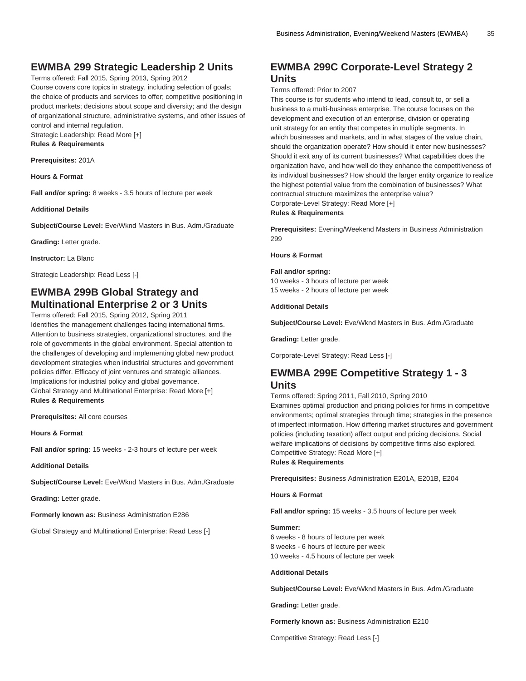#### **EWMBA 299 Strategic Leadership 2 Units**

Terms offered: Fall 2015, Spring 2013, Spring 2012 Course covers core topics in strategy, including selection of goals; the choice of products and services to offer; competitive positioning in product markets; decisions about scope and diversity; and the design of organizational structure, administrative systems, and other issues of control and internal regulation.

Strategic Leadership: Read More [+] **Rules & Requirements**

**Prerequisites:** 201A

**Hours & Format**

**Fall and/or spring:** 8 weeks - 3.5 hours of lecture per week

**Additional Details**

**Subject/Course Level:** Eve/Wknd Masters in Bus. Adm./Graduate

**Grading:** Letter grade.

**Instructor:** La Blanc

Strategic Leadership: Read Less [-]

### **EWMBA 299B Global Strategy and Multinational Enterprise 2 or 3 Units**

Terms offered: Fall 2015, Spring 2012, Spring 2011 Identifies the management challenges facing international firms. Attention to business strategies, organizational structures, and the role of governments in the global environment. Special attention to the challenges of developing and implementing global new product development strategies when industrial structures and government policies differ. Efficacy of joint ventures and strategic alliances. Implications for industrial policy and global governance. Global Strategy and Multinational Enterprise: Read More [+] **Rules & Requirements**

**Prerequisites:** All core courses

**Hours & Format**

**Fall and/or spring:** 15 weeks - 2-3 hours of lecture per week

**Additional Details**

**Subject/Course Level:** Eve/Wknd Masters in Bus. Adm./Graduate

**Grading:** Letter grade.

**Formerly known as:** Business Administration E286

Global Strategy and Multinational Enterprise: Read Less [-]

### **EWMBA 299C Corporate-Level Strategy 2 Units**

#### Terms offered: Prior to 2007

This course is for students who intend to lead, consult to, or sell a business to a multi-business enterprise. The course focuses on the development and execution of an enterprise, division or operating unit strategy for an entity that competes in multiple segments. In which businesses and markets, and in what stages of the value chain, should the organization operate? How should it enter new businesses? Should it exit any of its current businesses? What capabilities does the organization have, and how well do they enhance the competitiveness of its individual businesses? How should the larger entity organize to realize the highest potential value from the combination of businesses? What contractual structure maximizes the enterprise value? Corporate-Level Strategy: Read More [+] **Rules & Requirements**

**Prerequisites:** Evening/Weekend Masters in Business Administration 299

**Hours & Format**

#### **Fall and/or spring:**

10 weeks - 3 hours of lecture per week 15 weeks - 2 hours of lecture per week

#### **Additional Details**

**Subject/Course Level:** Eve/Wknd Masters in Bus. Adm./Graduate

**Grading:** Letter grade.

Corporate-Level Strategy: Read Less [-]

#### **EWMBA 299E Competitive Strategy 1 - 3 Units**

Terms offered: Spring 2011, Fall 2010, Spring 2010

Examines optimal production and pricing policies for firms in competitive environments; optimal strategies through time; strategies in the presence of imperfect information. How differing market structures and government policies (including taxation) affect output and pricing decisions. Social welfare implications of decisions by competitive firms also explored. Competitive Strategy: Read More [+] **Rules & Requirements**

**Prerequisites:** Business Administration E201A, E201B, E204

**Hours & Format**

**Fall and/or spring:** 15 weeks - 3.5 hours of lecture per week

#### **Summer:**

6 weeks - 8 hours of lecture per week 8 weeks - 6 hours of lecture per week 10 weeks - 4.5 hours of lecture per week

#### **Additional Details**

**Subject/Course Level:** Eve/Wknd Masters in Bus. Adm./Graduate

**Grading:** Letter grade.

**Formerly known as:** Business Administration E210

Competitive Strategy: Read Less [-]